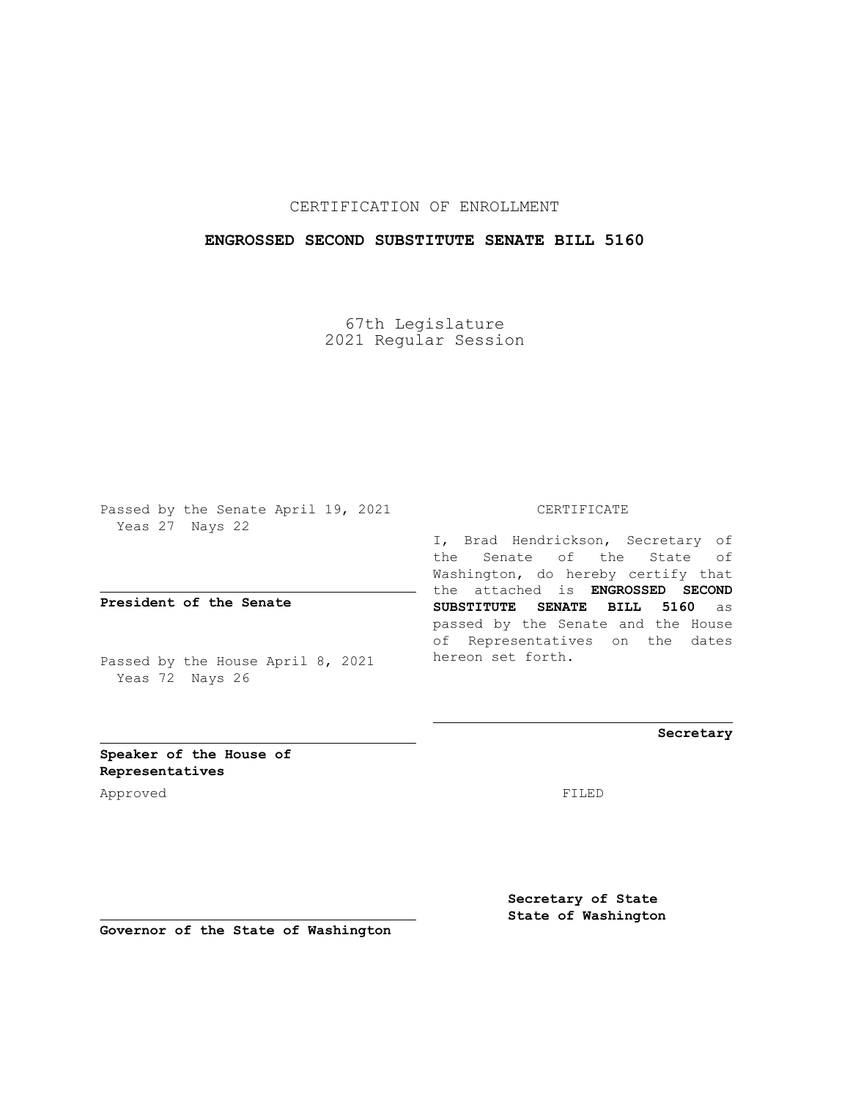## CERTIFICATION OF ENROLLMENT

### **ENGROSSED SECOND SUBSTITUTE SENATE BILL 5160**

67th Legislature 2021 Regular Session

Passed by the Senate April 19, 2021 Yeas 27 Nays 22

**President of the Senate**

Passed by the House April 8, 2021 Yeas 72 Nays 26

CERTIFICATE

I, Brad Hendrickson, Secretary of the Senate of the State of Washington, do hereby certify that the attached is **ENGROSSED SECOND SUBSTITUTE SENATE BILL 5160** as passed by the Senate and the House of Representatives on the dates hereon set forth.

**Secretary**

**Speaker of the House of Representatives**

Approved FILED

**Secretary of State State of Washington**

**Governor of the State of Washington**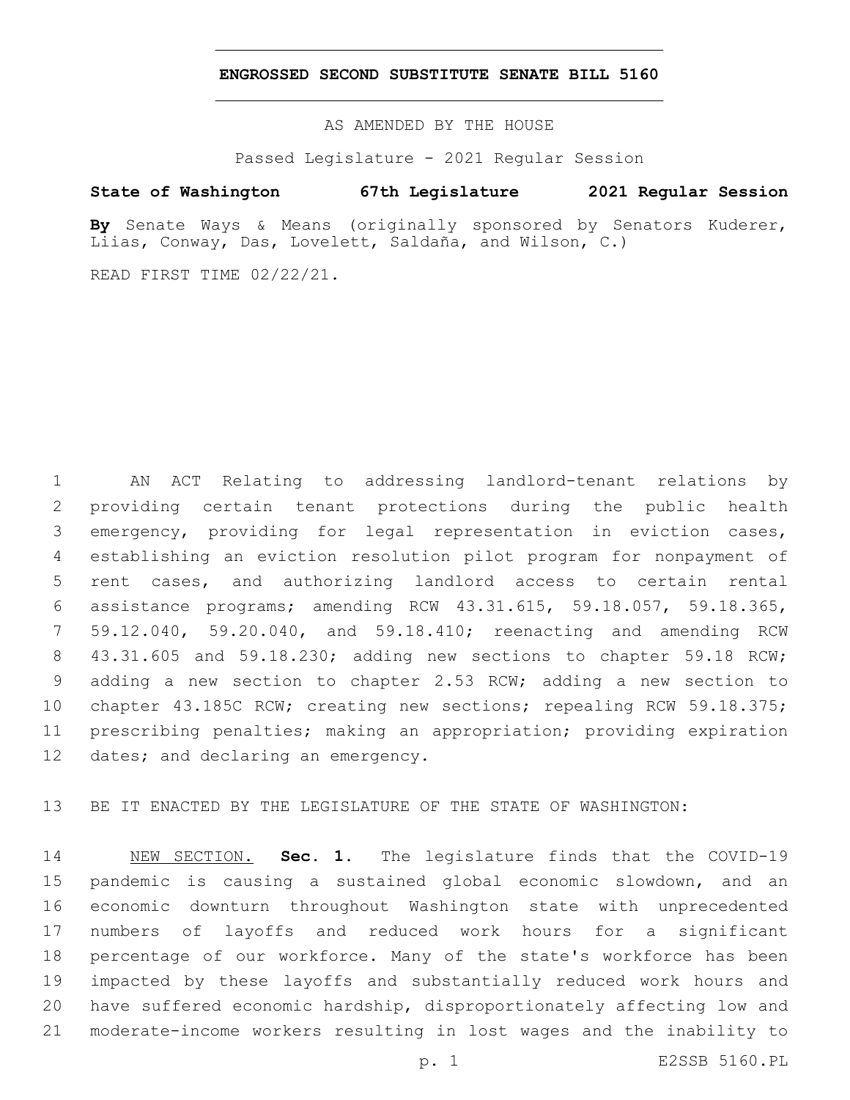#### **ENGROSSED SECOND SUBSTITUTE SENATE BILL 5160**

AS AMENDED BY THE HOUSE

Passed Legislature - 2021 Regular Session

## **State of Washington 67th Legislature 2021 Regular Session**

**By** Senate Ways & Means (originally sponsored by Senators Kuderer, Liias, Conway, Das, Lovelett, Saldaña, and Wilson, C.)

READ FIRST TIME 02/22/21.

 AN ACT Relating to addressing landlord-tenant relations by providing certain tenant protections during the public health emergency, providing for legal representation in eviction cases, establishing an eviction resolution pilot program for nonpayment of rent cases, and authorizing landlord access to certain rental assistance programs; amending RCW 43.31.615, 59.18.057, 59.18.365, 59.12.040, 59.20.040, and 59.18.410; reenacting and amending RCW 43.31.605 and 59.18.230; adding new sections to chapter 59.18 RCW; adding a new section to chapter 2.53 RCW; adding a new section to chapter 43.185C RCW; creating new sections; repealing RCW 59.18.375; prescribing penalties; making an appropriation; providing expiration 12 dates; and declaring an emergency.

BE IT ENACTED BY THE LEGISLATURE OF THE STATE OF WASHINGTON:

 NEW SECTION. **Sec. 1.** The legislature finds that the COVID-19 pandemic is causing a sustained global economic slowdown, and an economic downturn throughout Washington state with unprecedented numbers of layoffs and reduced work hours for a significant percentage of our workforce. Many of the state's workforce has been impacted by these layoffs and substantially reduced work hours and have suffered economic hardship, disproportionately affecting low and moderate-income workers resulting in lost wages and the inability to

p. 1 E2SSB 5160.PL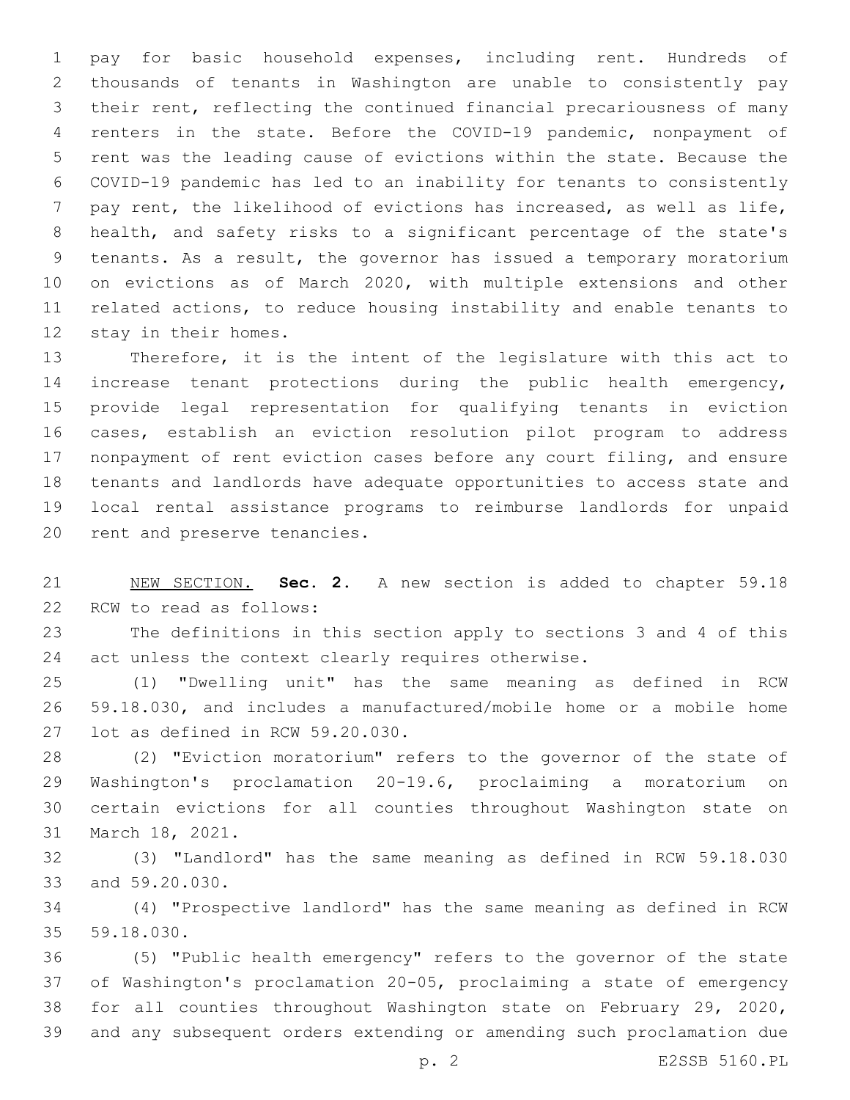pay for basic household expenses, including rent. Hundreds of thousands of tenants in Washington are unable to consistently pay their rent, reflecting the continued financial precariousness of many renters in the state. Before the COVID-19 pandemic, nonpayment of rent was the leading cause of evictions within the state. Because the COVID-19 pandemic has led to an inability for tenants to consistently pay rent, the likelihood of evictions has increased, as well as life, health, and safety risks to a significant percentage of the state's tenants. As a result, the governor has issued a temporary moratorium on evictions as of March 2020, with multiple extensions and other related actions, to reduce housing instability and enable tenants to 12 stay in their homes.

 Therefore, it is the intent of the legislature with this act to increase tenant protections during the public health emergency, provide legal representation for qualifying tenants in eviction cases, establish an eviction resolution pilot program to address nonpayment of rent eviction cases before any court filing, and ensure tenants and landlords have adequate opportunities to access state and local rental assistance programs to reimburse landlords for unpaid 20 rent and preserve tenancies.

 NEW SECTION. **Sec. 2.** A new section is added to chapter 59.18 22 RCW to read as follows:

 The definitions in this section apply to sections 3 and 4 of this 24 act unless the context clearly requires otherwise.

 (1) "Dwelling unit" has the same meaning as defined in RCW 59.18.030, and includes a manufactured/mobile home or a mobile home 27 lot as defined in RCW 59.20.030.

 (2) "Eviction moratorium" refers to the governor of the state of Washington's proclamation 20-19.6, proclaiming a moratorium on certain evictions for all counties throughout Washington state on 31 March 18, 2021.

 (3) "Landlord" has the same meaning as defined in RCW 59.18.030 33 and 59.20.030.

 (4) "Prospective landlord" has the same meaning as defined in RCW 35 59.18.030.

 (5) "Public health emergency" refers to the governor of the state of Washington's proclamation 20-05, proclaiming a state of emergency for all counties throughout Washington state on February 29, 2020, and any subsequent orders extending or amending such proclamation due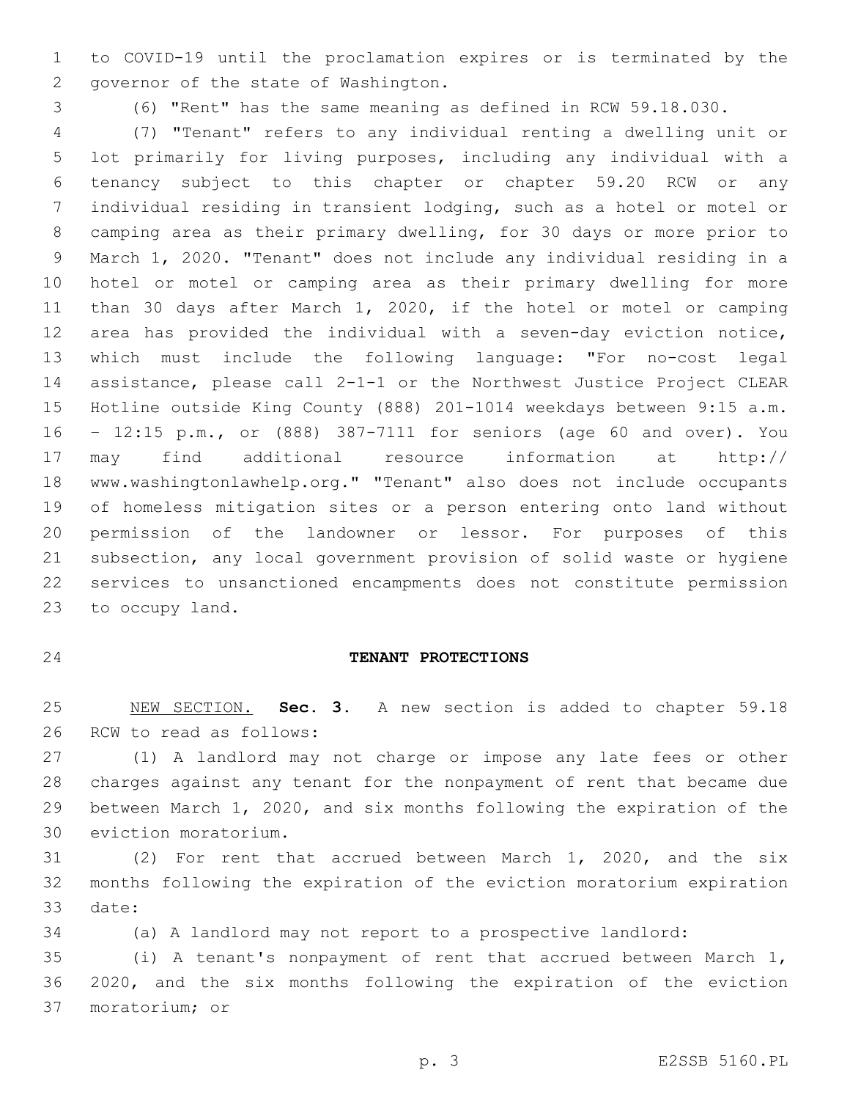to COVID-19 until the proclamation expires or is terminated by the 2 governor of the state of Washington.

(6) "Rent" has the same meaning as defined in RCW 59.18.030.

 (7) "Tenant" refers to any individual renting a dwelling unit or lot primarily for living purposes, including any individual with a tenancy subject to this chapter or chapter 59.20 RCW or any individual residing in transient lodging, such as a hotel or motel or camping area as their primary dwelling, for 30 days or more prior to March 1, 2020. "Tenant" does not include any individual residing in a hotel or motel or camping area as their primary dwelling for more than 30 days after March 1, 2020, if the hotel or motel or camping area has provided the individual with a seven-day eviction notice, which must include the following language: "For no-cost legal assistance, please call 2-1-1 or the Northwest Justice Project CLEAR Hotline outside King County (888) 201-1014 weekdays between 9:15 a.m. – 12:15 p.m., or (888) 387-7111 for seniors (age 60 and over). You may find additional resource information at http:// www.washingtonlawhelp.org." "Tenant" also does not include occupants of homeless mitigation sites or a person entering onto land without permission of the landowner or lessor. For purposes of this subsection, any local government provision of solid waste or hygiene services to unsanctioned encampments does not constitute permission 23 to occupy land.

## **TENANT PROTECTIONS**

 NEW SECTION. **Sec. 3.** A new section is added to chapter 59.18 26 RCW to read as follows:

 (1) A landlord may not charge or impose any late fees or other charges against any tenant for the nonpayment of rent that became due between March 1, 2020, and six months following the expiration of the 30 eviction moratorium.

 (2) For rent that accrued between March 1, 2020, and the six months following the expiration of the eviction moratorium expiration 33 date:

(a) A landlord may not report to a prospective landlord:

 (i) A tenant's nonpayment of rent that accrued between March 1, 2020, and the six months following the expiration of the eviction 37 moratorium; or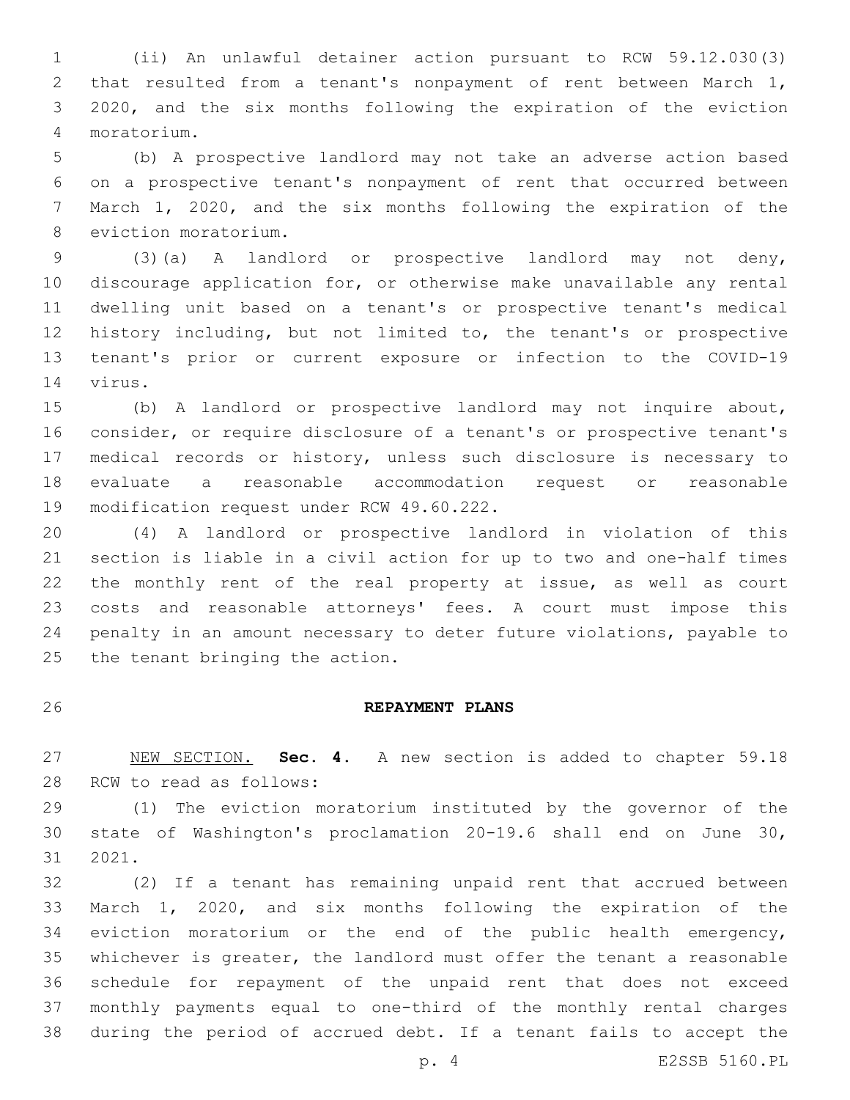(ii) An unlawful detainer action pursuant to RCW 59.12.030(3) that resulted from a tenant's nonpayment of rent between March 1, 2020, and the six months following the expiration of the eviction moratorium.4

 (b) A prospective landlord may not take an adverse action based on a prospective tenant's nonpayment of rent that occurred between March 1, 2020, and the six months following the expiration of the 8 eviction moratorium.

 (3)(a) A landlord or prospective landlord may not deny, discourage application for, or otherwise make unavailable any rental dwelling unit based on a tenant's or prospective tenant's medical history including, but not limited to, the tenant's or prospective tenant's prior or current exposure or infection to the COVID-19 14 virus.

 (b) A landlord or prospective landlord may not inquire about, consider, or require disclosure of a tenant's or prospective tenant's medical records or history, unless such disclosure is necessary to evaluate a reasonable accommodation request or reasonable 19 modification request under RCW 49.60.222.

 (4) A landlord or prospective landlord in violation of this section is liable in a civil action for up to two and one-half times the monthly rent of the real property at issue, as well as court costs and reasonable attorneys' fees. A court must impose this penalty in an amount necessary to deter future violations, payable to 25 the tenant bringing the action.

### **REPAYMENT PLANS**

 NEW SECTION. **Sec. 4.** A new section is added to chapter 59.18 28 RCW to read as follows:

 (1) The eviction moratorium instituted by the governor of the state of Washington's proclamation 20-19.6 shall end on June 30, 31 2021.

 (2) If a tenant has remaining unpaid rent that accrued between March 1, 2020, and six months following the expiration of the eviction moratorium or the end of the public health emergency, whichever is greater, the landlord must offer the tenant a reasonable schedule for repayment of the unpaid rent that does not exceed monthly payments equal to one-third of the monthly rental charges during the period of accrued debt. If a tenant fails to accept the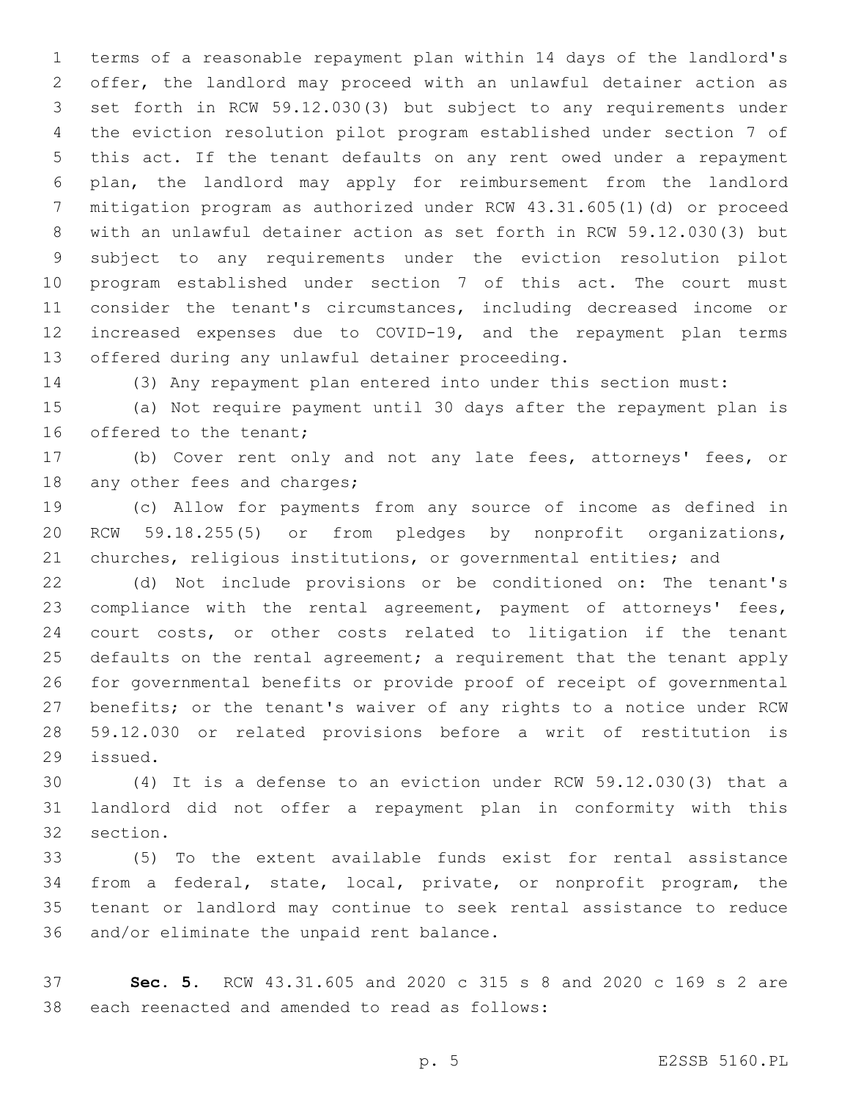terms of a reasonable repayment plan within 14 days of the landlord's offer, the landlord may proceed with an unlawful detainer action as set forth in RCW 59.12.030(3) but subject to any requirements under the eviction resolution pilot program established under section 7 of this act. If the tenant defaults on any rent owed under a repayment plan, the landlord may apply for reimbursement from the landlord mitigation program as authorized under RCW 43.31.605(1)(d) or proceed with an unlawful detainer action as set forth in RCW 59.12.030(3) but subject to any requirements under the eviction resolution pilot program established under section 7 of this act. The court must consider the tenant's circumstances, including decreased income or increased expenses due to COVID-19, and the repayment plan terms 13 offered during any unlawful detainer proceeding.

(3) Any repayment plan entered into under this section must:

 (a) Not require payment until 30 days after the repayment plan is 16 offered to the tenant;

 (b) Cover rent only and not any late fees, attorneys' fees, or 18 any other fees and charges;

 (c) Allow for payments from any source of income as defined in RCW 59.18.255(5) or from pledges by nonprofit organizations, churches, religious institutions, or governmental entities; and

 (d) Not include provisions or be conditioned on: The tenant's 23 compliance with the rental agreement, payment of attorneys' fees, court costs, or other costs related to litigation if the tenant 25 defaults on the rental agreement; a requirement that the tenant apply for governmental benefits or provide proof of receipt of governmental benefits; or the tenant's waiver of any rights to a notice under RCW 59.12.030 or related provisions before a writ of restitution is 29 issued.

 (4) It is a defense to an eviction under RCW 59.12.030(3) that a landlord did not offer a repayment plan in conformity with this 32 section.

 (5) To the extent available funds exist for rental assistance from a federal, state, local, private, or nonprofit program, the tenant or landlord may continue to seek rental assistance to reduce 36 and/or eliminate the unpaid rent balance.

 **Sec. 5.** RCW 43.31.605 and 2020 c 315 s 8 and 2020 c 169 s 2 are 38 each reenacted and amended to read as follows: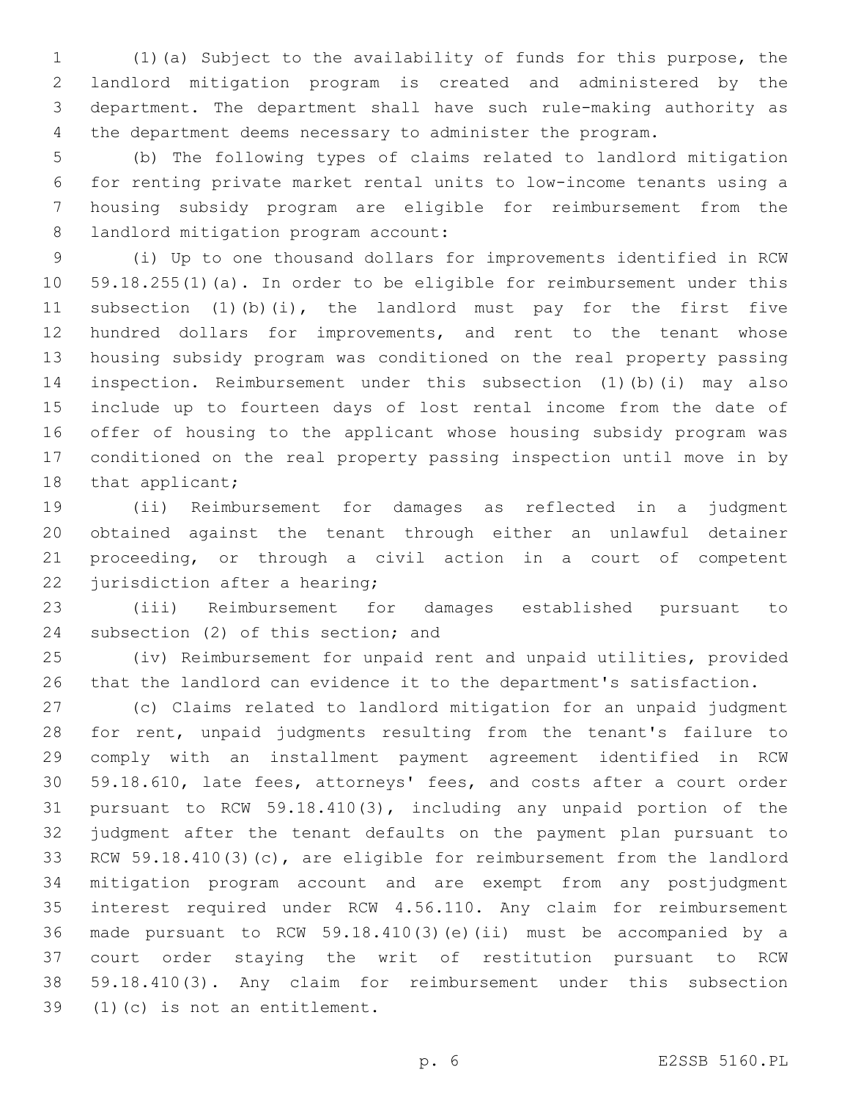(1)(a) Subject to the availability of funds for this purpose, the landlord mitigation program is created and administered by the department. The department shall have such rule-making authority as the department deems necessary to administer the program.

 (b) The following types of claims related to landlord mitigation for renting private market rental units to low-income tenants using a housing subsidy program are eligible for reimbursement from the 8 landlord mitigation program account:

 (i) Up to one thousand dollars for improvements identified in RCW 59.18.255(1)(a). In order to be eligible for reimbursement under this subsection (1)(b)(i), the landlord must pay for the first five hundred dollars for improvements, and rent to the tenant whose housing subsidy program was conditioned on the real property passing inspection. Reimbursement under this subsection (1)(b)(i) may also include up to fourteen days of lost rental income from the date of offer of housing to the applicant whose housing subsidy program was conditioned on the real property passing inspection until move in by 18 that applicant;

 (ii) Reimbursement for damages as reflected in a judgment obtained against the tenant through either an unlawful detainer proceeding, or through a civil action in a court of competent 22 jurisdiction after a hearing;

 (iii) Reimbursement for damages established pursuant to 24 subsection (2) of this section; and

 (iv) Reimbursement for unpaid rent and unpaid utilities, provided that the landlord can evidence it to the department's satisfaction.

 (c) Claims related to landlord mitigation for an unpaid judgment for rent, unpaid judgments resulting from the tenant's failure to comply with an installment payment agreement identified in RCW 59.18.610, late fees, attorneys' fees, and costs after a court order pursuant to RCW 59.18.410(3), including any unpaid portion of the judgment after the tenant defaults on the payment plan pursuant to RCW 59.18.410(3)(c), are eligible for reimbursement from the landlord mitigation program account and are exempt from any postjudgment interest required under RCW 4.56.110. Any claim for reimbursement made pursuant to RCW 59.18.410(3)(e)(ii) must be accompanied by a court order staying the writ of restitution pursuant to RCW 59.18.410(3). Any claim for reimbursement under this subsection 39 (1)(c) is not an entitlement.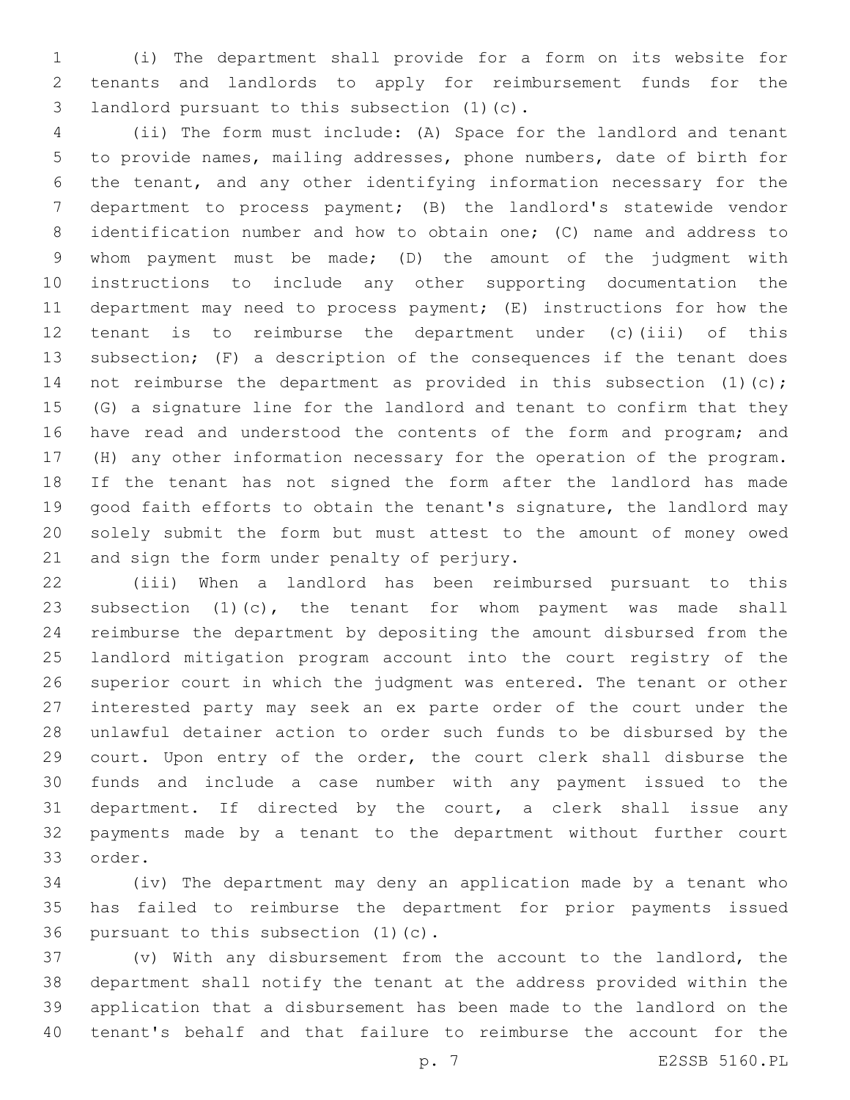(i) The department shall provide for a form on its website for tenants and landlords to apply for reimbursement funds for the 3 landlord pursuant to this subsection (1)(c).

 (ii) The form must include: (A) Space for the landlord and tenant to provide names, mailing addresses, phone numbers, date of birth for the tenant, and any other identifying information necessary for the department to process payment; (B) the landlord's statewide vendor identification number and how to obtain one; (C) name and address to whom payment must be made; (D) the amount of the judgment with instructions to include any other supporting documentation the department may need to process payment; (E) instructions for how the tenant is to reimburse the department under (c)(iii) of this subsection; (F) a description of the consequences if the tenant does 14 not reimburse the department as provided in this subsection (1)(c); (G) a signature line for the landlord and tenant to confirm that they 16 have read and understood the contents of the form and program; and (H) any other information necessary for the operation of the program. If the tenant has not signed the form after the landlord has made good faith efforts to obtain the tenant's signature, the landlord may solely submit the form but must attest to the amount of money owed 21 and sign the form under penalty of perjury.

 (iii) When a landlord has been reimbursed pursuant to this subsection (1)(c), the tenant for whom payment was made shall reimburse the department by depositing the amount disbursed from the landlord mitigation program account into the court registry of the superior court in which the judgment was entered. The tenant or other interested party may seek an ex parte order of the court under the unlawful detainer action to order such funds to be disbursed by the court. Upon entry of the order, the court clerk shall disburse the funds and include a case number with any payment issued to the department. If directed by the court, a clerk shall issue any payments made by a tenant to the department without further court 33 order.

 (iv) The department may deny an application made by a tenant who has failed to reimburse the department for prior payments issued 36 pursuant to this subsection  $(1)(c)$ .

 (v) With any disbursement from the account to the landlord, the department shall notify the tenant at the address provided within the application that a disbursement has been made to the landlord on the tenant's behalf and that failure to reimburse the account for the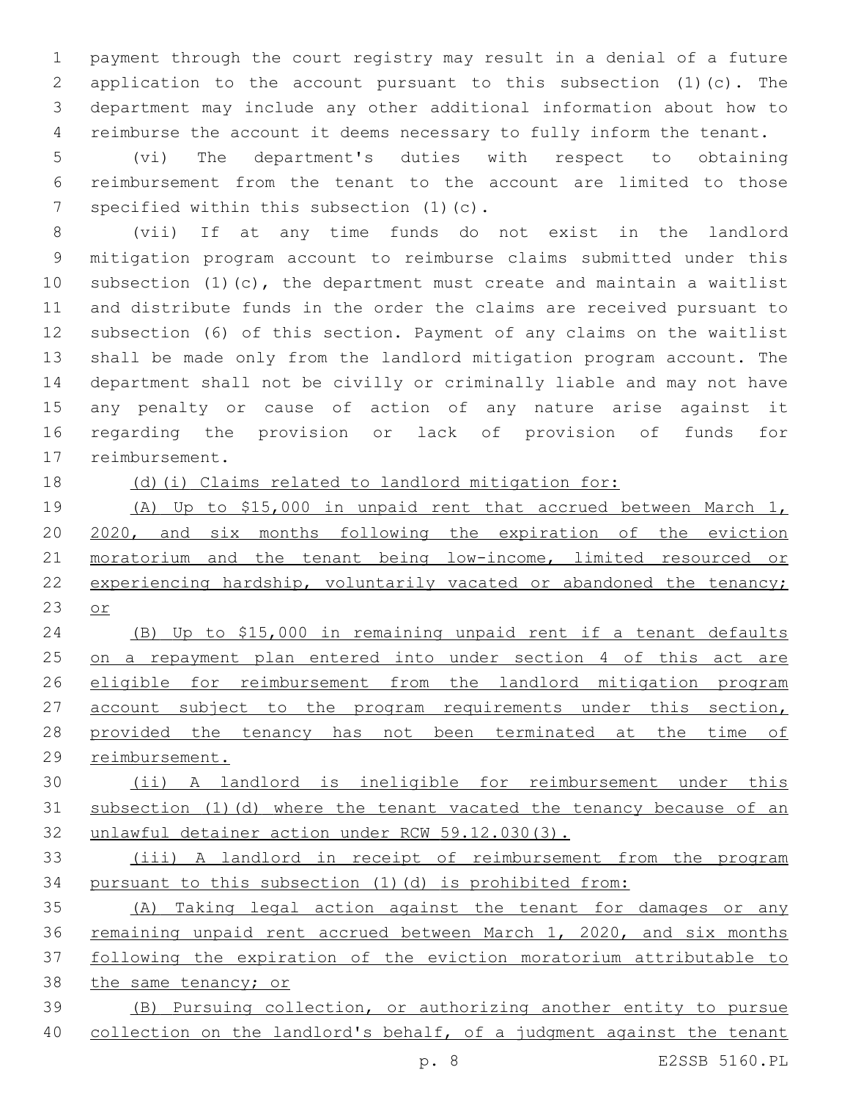payment through the court registry may result in a denial of a future application to the account pursuant to this subsection (1)(c). The department may include any other additional information about how to reimburse the account it deems necessary to fully inform the tenant.

 (vi) The department's duties with respect to obtaining reimbursement from the tenant to the account are limited to those 7 specified within this subsection (1)(c).

 (vii) If at any time funds do not exist in the landlord mitigation program account to reimburse claims submitted under this subsection (1)(c), the department must create and maintain a waitlist and distribute funds in the order the claims are received pursuant to subsection (6) of this section. Payment of any claims on the waitlist shall be made only from the landlord mitigation program account. The department shall not be civilly or criminally liable and may not have any penalty or cause of action of any nature arise against it regarding the provision or lack of provision of funds for 17 reimbursement.

(d)(i) Claims related to landlord mitigation for:

 (A) Up to \$15,000 in unpaid rent that accrued between March 1, 2020, and six months following the expiration of the eviction moratorium and the tenant being low-income, limited resourced or experiencing hardship, voluntarily vacated or abandoned the tenancy; or

 (B) Up to \$15,000 in remaining unpaid rent if a tenant defaults on a repayment plan entered into under section 4 of this act are eligible for reimbursement from the landlord mitigation program 27 account subject to the program requirements under this section, 28 provided the tenancy has not been terminated at the time of reimbursement.

 (ii) A landlord is ineligible for reimbursement under this subsection (1)(d) where the tenant vacated the tenancy because of an unlawful detainer action under RCW 59.12.030(3).

 (iii) A landlord in receipt of reimbursement from the program pursuant to this subsection (1)(d) is prohibited from:

 (A) Taking legal action against the tenant for damages or any remaining unpaid rent accrued between March 1, 2020, and six months following the expiration of the eviction moratorium attributable to the same tenancy; or (B) Pursuing collection, or authorizing another entity to pursue

collection on the landlord's behalf, of a judgment against the tenant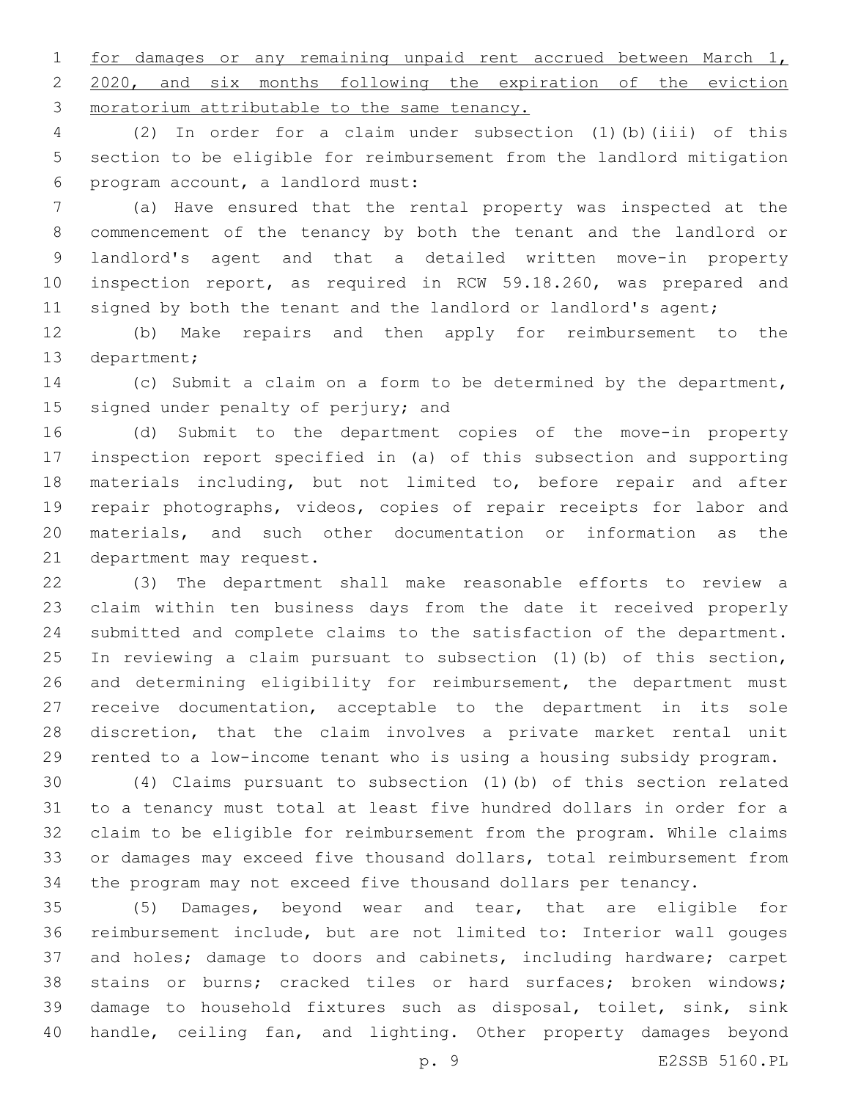for damages or any remaining unpaid rent accrued between March 1, 2020, and six months following the expiration of the eviction 3 moratorium attributable to the same tenancy.

 (2) In order for a claim under subsection (1)(b)(iii) of this section to be eligible for reimbursement from the landlord mitigation program account, a landlord must:6

 (a) Have ensured that the rental property was inspected at the commencement of the tenancy by both the tenant and the landlord or landlord's agent and that a detailed written move-in property inspection report, as required in RCW 59.18.260, was prepared and 11 signed by both the tenant and the landlord or landlord's agent;

 (b) Make repairs and then apply for reimbursement to the 13 department;

 (c) Submit a claim on a form to be determined by the department, 15 signed under penalty of perjury; and

 (d) Submit to the department copies of the move-in property inspection report specified in (a) of this subsection and supporting materials including, but not limited to, before repair and after repair photographs, videos, copies of repair receipts for labor and materials, and such other documentation or information as the 21 department may request.

 (3) The department shall make reasonable efforts to review a claim within ten business days from the date it received properly submitted and complete claims to the satisfaction of the department. In reviewing a claim pursuant to subsection (1)(b) of this section, and determining eligibility for reimbursement, the department must receive documentation, acceptable to the department in its sole discretion, that the claim involves a private market rental unit rented to a low-income tenant who is using a housing subsidy program.

 (4) Claims pursuant to subsection (1)(b) of this section related to a tenancy must total at least five hundred dollars in order for a claim to be eligible for reimbursement from the program. While claims or damages may exceed five thousand dollars, total reimbursement from the program may not exceed five thousand dollars per tenancy.

 (5) Damages, beyond wear and tear, that are eligible for reimbursement include, but are not limited to: Interior wall gouges and holes; damage to doors and cabinets, including hardware; carpet stains or burns; cracked tiles or hard surfaces; broken windows; damage to household fixtures such as disposal, toilet, sink, sink handle, ceiling fan, and lighting. Other property damages beyond

p. 9 E2SSB 5160.PL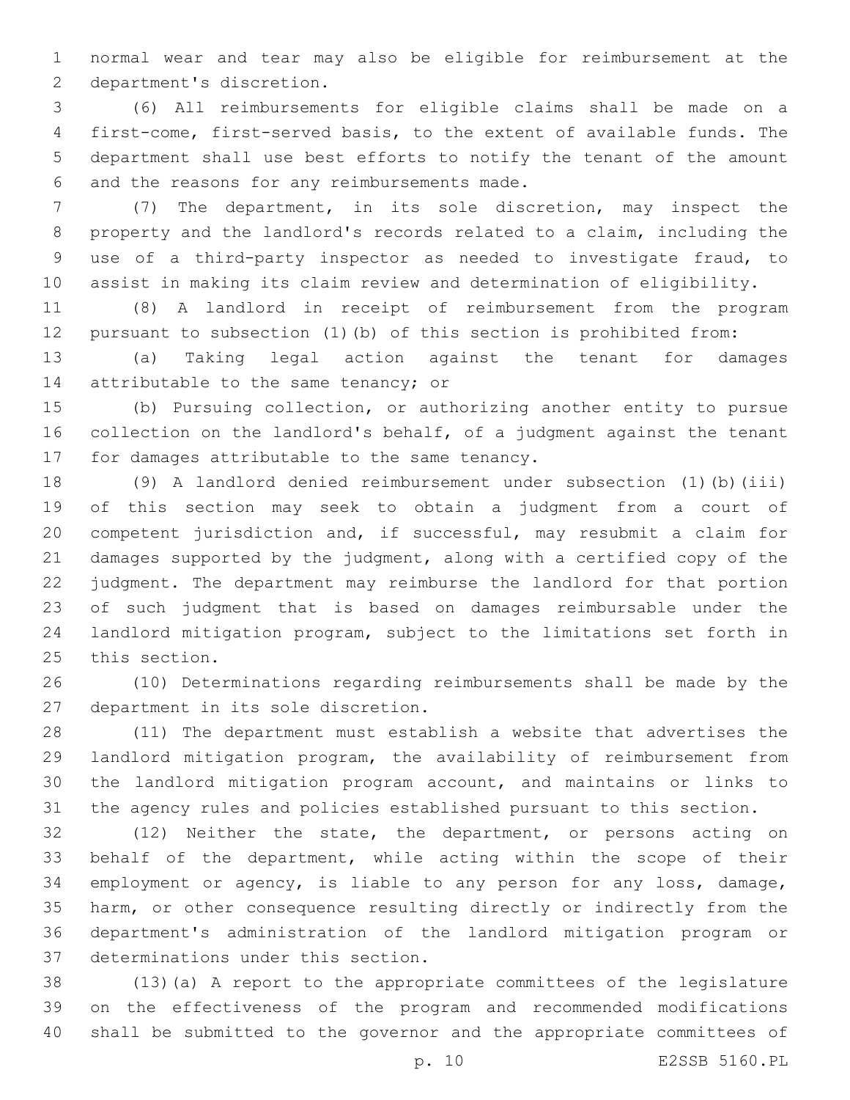normal wear and tear may also be eligible for reimbursement at the 2 department's discretion.

 (6) All reimbursements for eligible claims shall be made on a first-come, first-served basis, to the extent of available funds. The department shall use best efforts to notify the tenant of the amount 6 and the reasons for any reimbursements made.

 (7) The department, in its sole discretion, may inspect the property and the landlord's records related to a claim, including the use of a third-party inspector as needed to investigate fraud, to assist in making its claim review and determination of eligibility.

 (8) A landlord in receipt of reimbursement from the program pursuant to subsection (1)(b) of this section is prohibited from:

 (a) Taking legal action against the tenant for damages 14 attributable to the same tenancy; or

 (b) Pursuing collection, or authorizing another entity to pursue collection on the landlord's behalf, of a judgment against the tenant 17 for damages attributable to the same tenancy.

 (9) A landlord denied reimbursement under subsection (1)(b)(iii) of this section may seek to obtain a judgment from a court of competent jurisdiction and, if successful, may resubmit a claim for damages supported by the judgment, along with a certified copy of the judgment. The department may reimburse the landlord for that portion of such judgment that is based on damages reimbursable under the landlord mitigation program, subject to the limitations set forth in 25 this section.

 (10) Determinations regarding reimbursements shall be made by the 27 department in its sole discretion.

 (11) The department must establish a website that advertises the landlord mitigation program, the availability of reimbursement from the landlord mitigation program account, and maintains or links to the agency rules and policies established pursuant to this section.

 (12) Neither the state, the department, or persons acting on behalf of the department, while acting within the scope of their employment or agency, is liable to any person for any loss, damage, harm, or other consequence resulting directly or indirectly from the department's administration of the landlord mitigation program or 37 determinations under this section.

 (13)(a) A report to the appropriate committees of the legislature on the effectiveness of the program and recommended modifications shall be submitted to the governor and the appropriate committees of

p. 10 E2SSB 5160.PL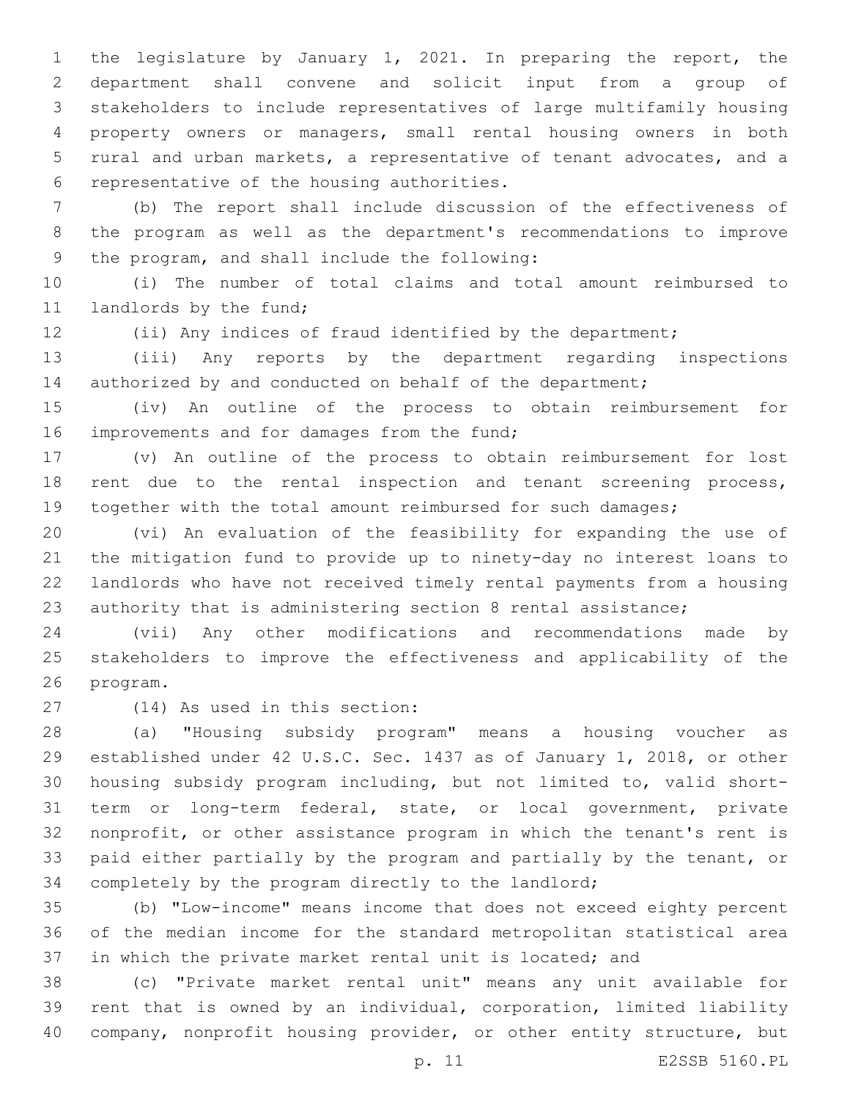the legislature by January 1, 2021. In preparing the report, the department shall convene and solicit input from a group of stakeholders to include representatives of large multifamily housing property owners or managers, small rental housing owners in both rural and urban markets, a representative of tenant advocates, and a 6 representative of the housing authorities.

 (b) The report shall include discussion of the effectiveness of the program as well as the department's recommendations to improve 9 the program, and shall include the following:

 (i) The number of total claims and total amount reimbursed to 11 landlords by the fund;

(ii) Any indices of fraud identified by the department;

 (iii) Any reports by the department regarding inspections 14 authorized by and conducted on behalf of the department;

 (iv) An outline of the process to obtain reimbursement for 16 improvements and for damages from the fund;

 (v) An outline of the process to obtain reimbursement for lost rent due to the rental inspection and tenant screening process, 19 together with the total amount reimbursed for such damages;

 (vi) An evaluation of the feasibility for expanding the use of the mitigation fund to provide up to ninety-day no interest loans to landlords who have not received timely rental payments from a housing authority that is administering section 8 rental assistance;

 (vii) Any other modifications and recommendations made by stakeholders to improve the effectiveness and applicability of the 26 program.

(14) As used in this section:27

 (a) "Housing subsidy program" means a housing voucher as established under 42 U.S.C. Sec. 1437 as of January 1, 2018, or other housing subsidy program including, but not limited to, valid short- term or long-term federal, state, or local government, private nonprofit, or other assistance program in which the tenant's rent is paid either partially by the program and partially by the tenant, or completely by the program directly to the landlord;

 (b) "Low-income" means income that does not exceed eighty percent of the median income for the standard metropolitan statistical area in which the private market rental unit is located; and

 (c) "Private market rental unit" means any unit available for rent that is owned by an individual, corporation, limited liability company, nonprofit housing provider, or other entity structure, but

p. 11 E2SSB 5160.PL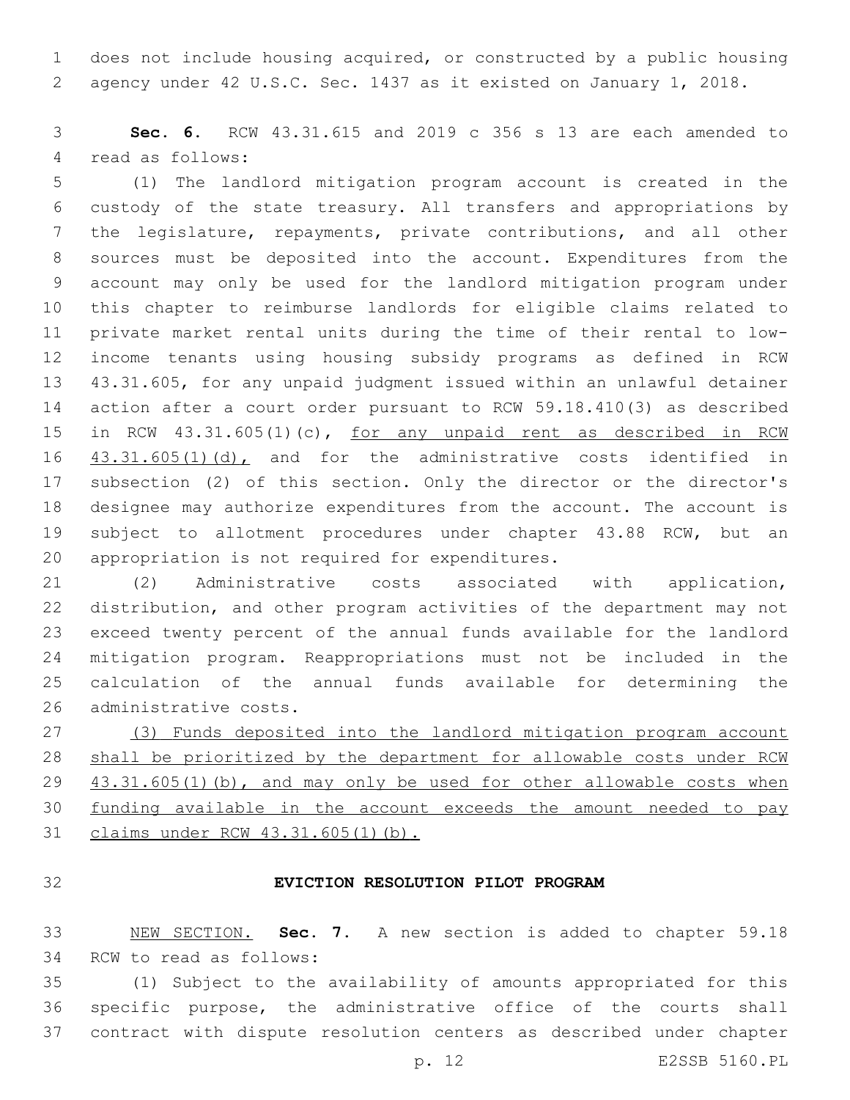does not include housing acquired, or constructed by a public housing agency under 42 U.S.C. Sec. 1437 as it existed on January 1, 2018.

 **Sec. 6.** RCW 43.31.615 and 2019 c 356 s 13 are each amended to 4 read as follows:

 (1) The landlord mitigation program account is created in the custody of the state treasury. All transfers and appropriations by the legislature, repayments, private contributions, and all other sources must be deposited into the account. Expenditures from the account may only be used for the landlord mitigation program under this chapter to reimburse landlords for eligible claims related to private market rental units during the time of their rental to low- income tenants using housing subsidy programs as defined in RCW 43.31.605, for any unpaid judgment issued within an unlawful detainer action after a court order pursuant to RCW 59.18.410(3) as described in RCW 43.31.605(1)(c), for any unpaid rent as described in RCW  $43.31.605(1)(d)$ , and for the administrative costs identified in subsection (2) of this section. Only the director or the director's designee may authorize expenditures from the account. The account is subject to allotment procedures under chapter 43.88 RCW, but an 20 appropriation is not required for expenditures.

 (2) Administrative costs associated with application, distribution, and other program activities of the department may not exceed twenty percent of the annual funds available for the landlord mitigation program. Reappropriations must not be included in the calculation of the annual funds available for determining the 26 administrative costs.

 (3) Funds deposited into the landlord mitigation program account shall be prioritized by the department for allowable costs under RCW 29 43.31.605(1)(b), and may only be used for other allowable costs when funding available in the account exceeds the amount needed to pay 31 claims under RCW 43.31.605(1)(b).

# **EVICTION RESOLUTION PILOT PROGRAM**

 NEW SECTION. **Sec. 7.** A new section is added to chapter 59.18 34 RCW to read as follows:

 (1) Subject to the availability of amounts appropriated for this specific purpose, the administrative office of the courts shall contract with dispute resolution centers as described under chapter

p. 12 E2SSB 5160.PL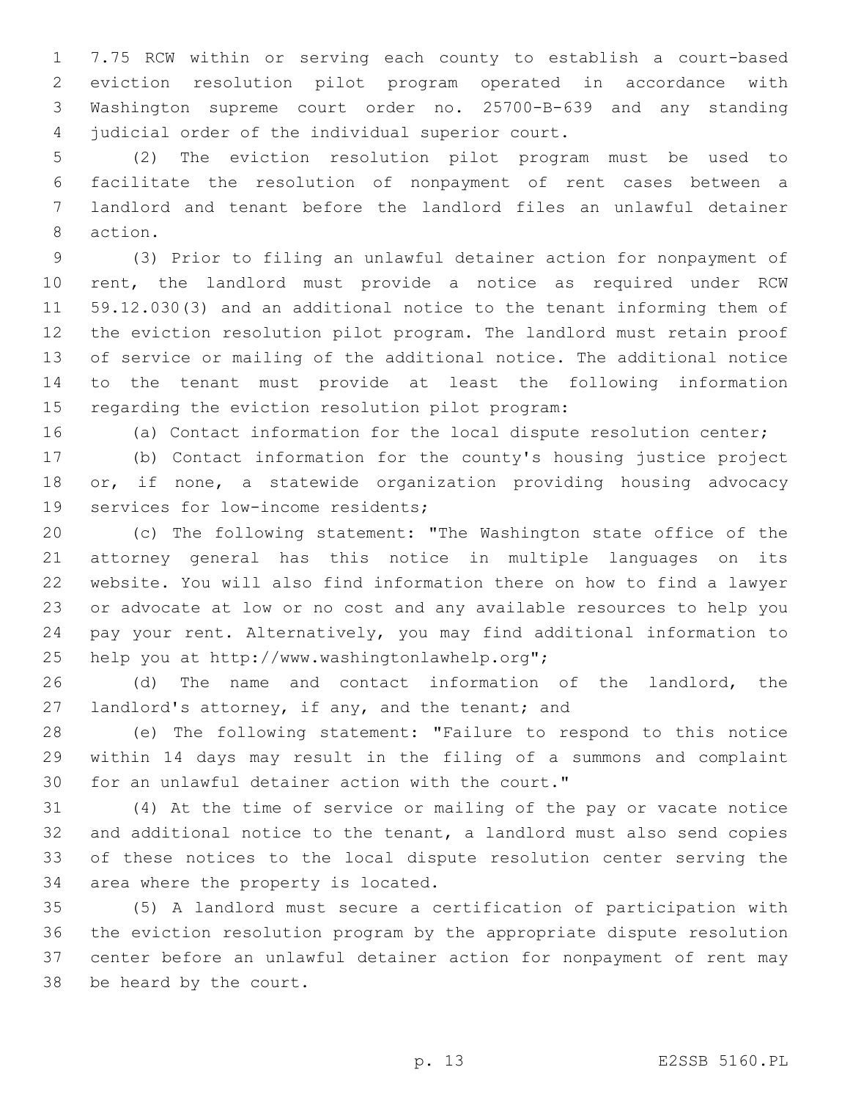7.75 RCW within or serving each county to establish a court-based eviction resolution pilot program operated in accordance with Washington supreme court order no. 25700-B-639 and any standing 4 judicial order of the individual superior court.

 (2) The eviction resolution pilot program must be used to facilitate the resolution of nonpayment of rent cases between a landlord and tenant before the landlord files an unlawful detainer 8 action.

 (3) Prior to filing an unlawful detainer action for nonpayment of rent, the landlord must provide a notice as required under RCW 59.12.030(3) and an additional notice to the tenant informing them of the eviction resolution pilot program. The landlord must retain proof of service or mailing of the additional notice. The additional notice to the tenant must provide at least the following information 15 regarding the eviction resolution pilot program:

(a) Contact information for the local dispute resolution center;

 (b) Contact information for the county's housing justice project or, if none, a statewide organization providing housing advocacy 19 services for low-income residents;

 (c) The following statement: "The Washington state office of the attorney general has this notice in multiple languages on its website. You will also find information there on how to find a lawyer or advocate at low or no cost and any available resources to help you pay your rent. Alternatively, you may find additional information to 25 help you at http://www.washingtonlawhelp.org";

 (d) The name and contact information of the landlord, the 27 landlord's attorney, if any, and the tenant; and

 (e) The following statement: "Failure to respond to this notice within 14 days may result in the filing of a summons and complaint 30 for an unlawful detainer action with the court."

 (4) At the time of service or mailing of the pay or vacate notice and additional notice to the tenant, a landlord must also send copies of these notices to the local dispute resolution center serving the 34 area where the property is located.

 (5) A landlord must secure a certification of participation with the eviction resolution program by the appropriate dispute resolution center before an unlawful detainer action for nonpayment of rent may 38 be heard by the court.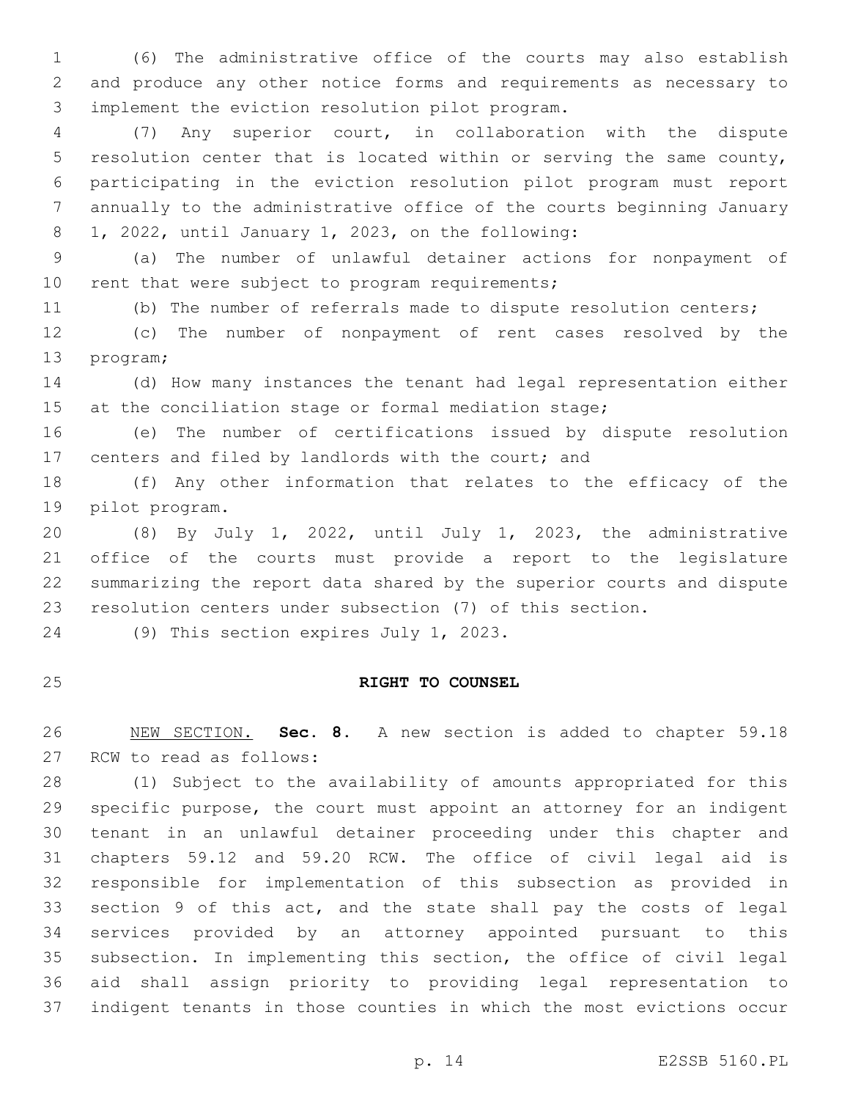(6) The administrative office of the courts may also establish and produce any other notice forms and requirements as necessary to implement the eviction resolution pilot program.3

 (7) Any superior court, in collaboration with the dispute resolution center that is located within or serving the same county, participating in the eviction resolution pilot program must report annually to the administrative office of the courts beginning January 8 1, 2022, until January 1, 2023, on the following:

 (a) The number of unlawful detainer actions for nonpayment of 10 rent that were subject to program requirements;

(b) The number of referrals made to dispute resolution centers;

 (c) The number of nonpayment of rent cases resolved by the 13 program;

 (d) How many instances the tenant had legal representation either at the conciliation stage or formal mediation stage;

 (e) The number of certifications issued by dispute resolution centers and filed by landlords with the court; and

 (f) Any other information that relates to the efficacy of the 19 pilot program.

 (8) By July 1, 2022, until July 1, 2023, the administrative office of the courts must provide a report to the legislature summarizing the report data shared by the superior courts and dispute resolution centers under subsection (7) of this section.

24 (9) This section expires July 1, 2023.

# **RIGHT TO COUNSEL**

 NEW SECTION. **Sec. 8.** A new section is added to chapter 59.18 27 RCW to read as follows:

 (1) Subject to the availability of amounts appropriated for this specific purpose, the court must appoint an attorney for an indigent tenant in an unlawful detainer proceeding under this chapter and chapters 59.12 and 59.20 RCW. The office of civil legal aid is responsible for implementation of this subsection as provided in section 9 of this act, and the state shall pay the costs of legal services provided by an attorney appointed pursuant to this subsection. In implementing this section, the office of civil legal aid shall assign priority to providing legal representation to indigent tenants in those counties in which the most evictions occur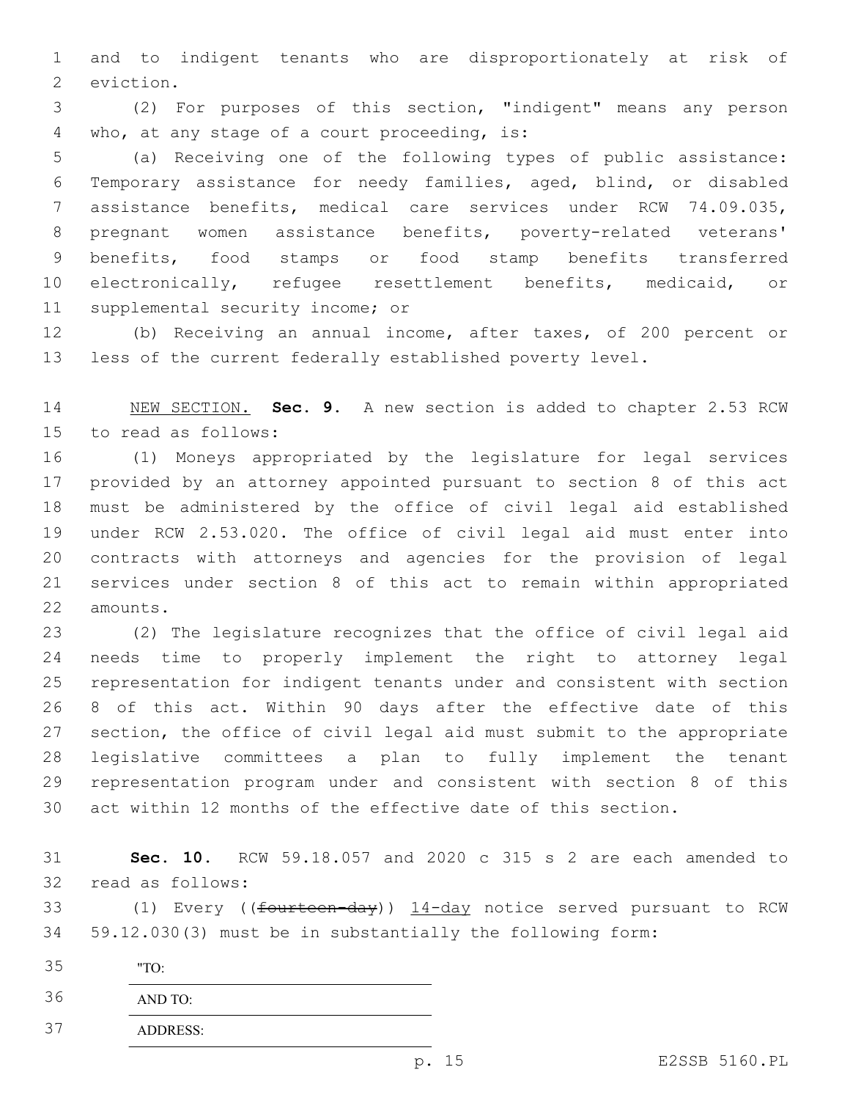and to indigent tenants who are disproportionately at risk of 2 eviction.

 (2) For purposes of this section, "indigent" means any person 4 who, at any stage of a court proceeding, is:

 (a) Receiving one of the following types of public assistance: Temporary assistance for needy families, aged, blind, or disabled assistance benefits, medical care services under RCW 74.09.035, pregnant women assistance benefits, poverty-related veterans' benefits, food stamps or food stamp benefits transferred electronically, refugee resettlement benefits, medicaid, or 11 supplemental security income; or

 (b) Receiving an annual income, after taxes, of 200 percent or less of the current federally established poverty level.

 NEW SECTION. **Sec. 9.** A new section is added to chapter 2.53 RCW 15 to read as follows:

 (1) Moneys appropriated by the legislature for legal services provided by an attorney appointed pursuant to section 8 of this act must be administered by the office of civil legal aid established under RCW 2.53.020. The office of civil legal aid must enter into contracts with attorneys and agencies for the provision of legal services under section 8 of this act to remain within appropriated 22 amounts.

 (2) The legislature recognizes that the office of civil legal aid needs time to properly implement the right to attorney legal representation for indigent tenants under and consistent with section 8 of this act. Within 90 days after the effective date of this section, the office of civil legal aid must submit to the appropriate legislative committees a plan to fully implement the tenant representation program under and consistent with section 8 of this act within 12 months of the effective date of this section.

 **Sec. 10.** RCW 59.18.057 and 2020 c 315 s 2 are each amended to 32 read as follows:

33 (1) Every ((fourteen-day)) 14-day notice served pursuant to RCW 59.12.030(3) must be in substantially the following form:

"TO:

AND TO:

ADDRESS: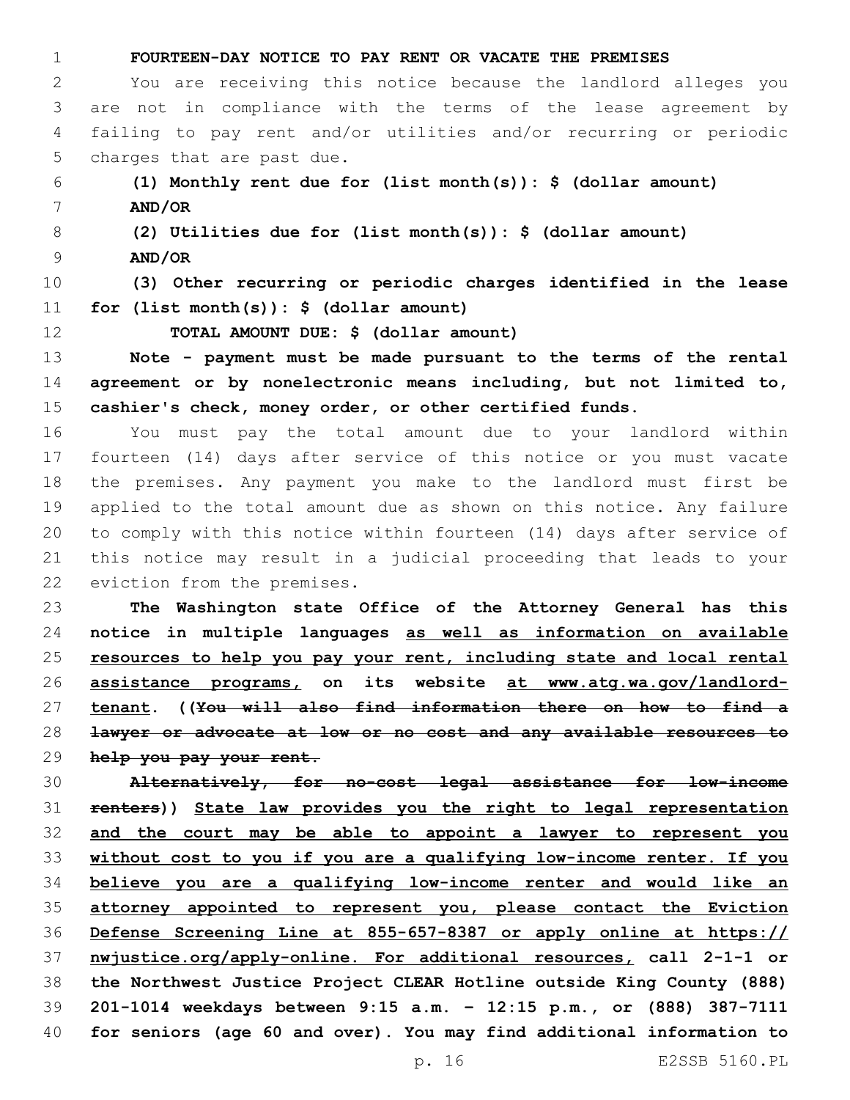**FOURTEEN-DAY NOTICE TO PAY RENT OR VACATE THE PREMISES** You are receiving this notice because the landlord alleges you are not in compliance with the terms of the lease agreement by failing to pay rent and/or utilities and/or recurring or periodic 5 charges that are past due. **(1) Monthly rent due for (list month(s)): \$ (dollar amount) AND/OR (2) Utilities due for (list month(s)): \$ (dollar amount) AND/OR (3) Other recurring or periodic charges identified in the lease for (list month(s)): \$ (dollar amount) TOTAL AMOUNT DUE: \$ (dollar amount) Note - payment must be made pursuant to the terms of the rental agreement or by nonelectronic means including, but not limited to, cashier's check, money order, or other certified funds.** You must pay the total amount due to your landlord within fourteen (14) days after service of this notice or you must vacate the premises. Any payment you make to the landlord must first be applied to the total amount due as shown on this notice. Any failure to comply with this notice within fourteen (14) days after service of this notice may result in a judicial proceeding that leads to your 22 eviction from the premises. **The Washington state Office of the Attorney General has this notice in multiple languages as well as information on available resources to help you pay your rent, including state and local rental assistance programs, on its website at www.atg.wa.gov/landlord- tenant. ((You will also find information there on how to find a lawyer or advocate at low or no cost and any available resources to help you pay your rent. Alternatively, for no-cost legal assistance for low-income** 

 **renters)) State law provides you the right to legal representation and the court may be able to appoint a lawyer to represent you without cost to you if you are a qualifying low-income renter. If you believe you are a qualifying low-income renter and would like an attorney appointed to represent you, please contact the Eviction Defense Screening Line at 855-657-8387 or apply online at https:// nwjustice.org/apply-online. For additional resources, call 2-1-1 or the Northwest Justice Project CLEAR Hotline outside King County (888) 201-1014 weekdays between 9:15 a.m. – 12:15 p.m., or (888) 387-7111 for seniors (age 60 and over). You may find additional information to**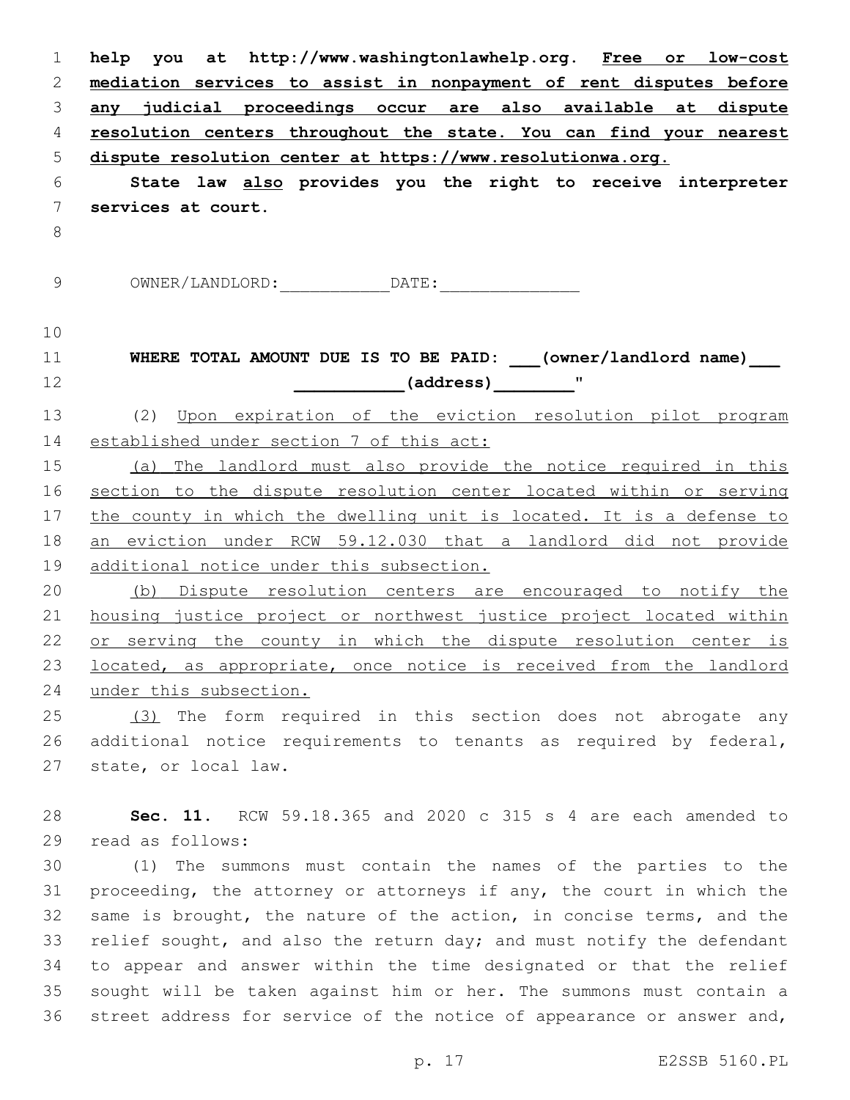| $\mathbf 1$   | help you at http://www.washingtonlawhelp.org. Free or low-cost        |
|---------------|-----------------------------------------------------------------------|
| 2             | mediation services to assist in nonpayment of rent disputes before    |
| 3             | any judicial proceedings occur are also available at dispute          |
| 4             | resolution centers throughout the state. You can find your nearest    |
| 5             | dispute resolution center at https://www.resolutionwa.org.            |
| 6             | State law also provides you the right to receive interpreter          |
| 7             | services at court.                                                    |
| $\,8\,$       |                                                                       |
|               |                                                                       |
| $\mathcal{G}$ |                                                                       |
| 10            |                                                                       |
| 11            | WHERE TOTAL AMOUNT DUE IS TO BE PAID: ___(owner/landlord name) ___    |
| 12            | (address) "                                                           |
| 13            | (2) Upon expiration of the eviction resolution pilot program          |
| 14            | established under section 7 of this act:                              |
| 15            | (a) The landlord must also provide the notice required in this        |
| 16            | section to the dispute resolution center located within or serving    |
| 17            | the county in which the dwelling unit is located. It is a defense to  |
| 18            | an eviction under RCW 59.12.030 that a landlord did not provide       |
| 19            | additional notice under this subsection.                              |
| 20            | (b) Dispute resolution centers are encouraged to notify the           |
| 21            | housing justice project or northwest justice project located within   |
| 22            | or serving the county in which the dispute resolution center is       |
| 23            | located, as appropriate, once notice is received from the landlord    |
| 24            | under this subsection.                                                |
| 25            | (3) The form required in this section does not abrogate any           |
| 26            | additional notice requirements to tenants as required by federal,     |
| 27            | state, or local law.                                                  |
| 28            | Sec. 11. RCW 59.18.365 and 2020 c 315 s 4 are each amended to         |
| 29            | read as follows:                                                      |
| 30            | (1) The summons must contain the names of the parties to the          |
| 31            | proceeding, the attorney or attorneys if any, the court in which the  |
| 32            | same is brought, the nature of the action, in concise terms, and the  |
| 33            | relief sought, and also the return day; and must notify the defendant |
| 34            | to appear and answer within the time designated or that the relief    |
| 35            | sought will be taken against him or her. The summons must contain a   |
| 36            | street address for service of the notice of appearance or answer and, |
|               | E2SSB 5160.PL<br>p. 17                                                |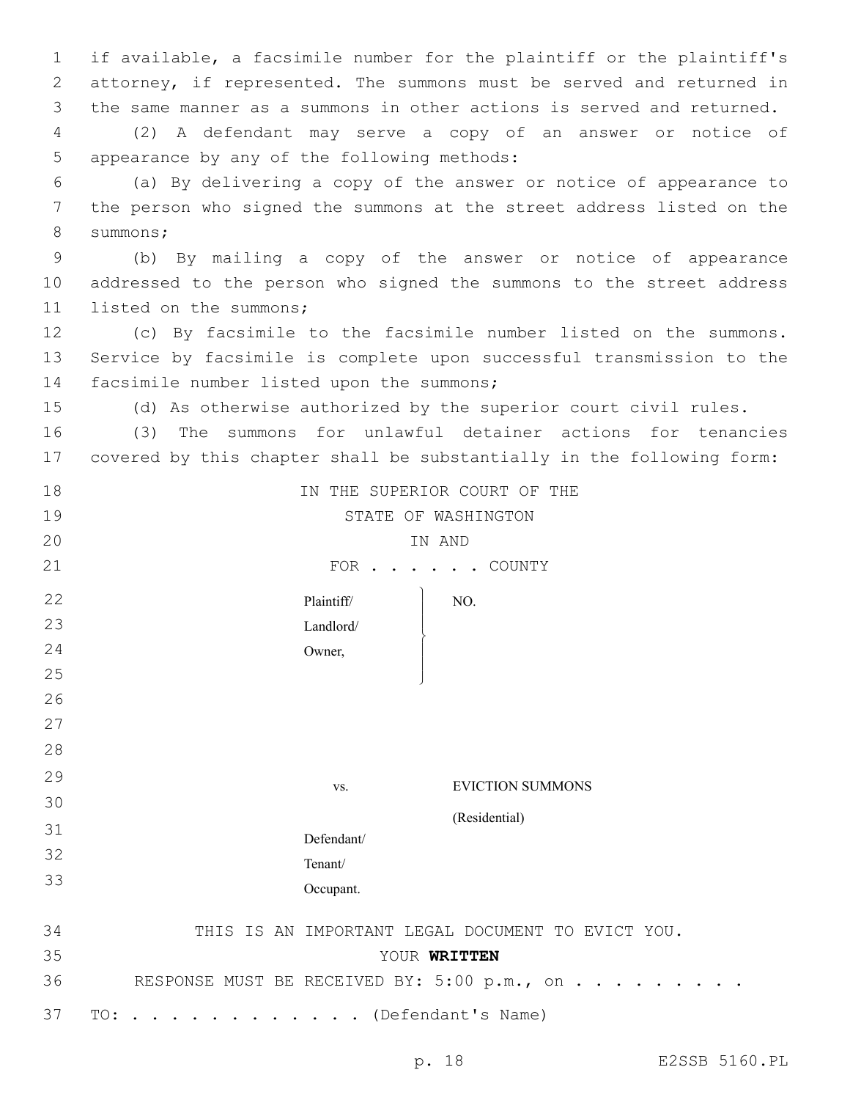1 if available, a facsimile number for the plaintiff or the plaintiff's 2 attorney, if represented. The summons must be served and returned in 3 the same manner as a summons in other actions is served and returned.

4 (2) A defendant may serve a copy of an answer or notice of 5 appearance by any of the following methods:

6 (a) By delivering a copy of the answer or notice of appearance to 7 the person who signed the summons at the street address listed on the 8 summons;

9 (b) By mailing a copy of the answer or notice of appearance 10 addressed to the person who signed the summons to the street address 11 listed on the summons;

12 (c) By facsimile to the facsimile number listed on the summons. 13 Service by facsimile is complete upon successful transmission to the 14 facsimile number listed upon the summons;

15 (d) As otherwise authorized by the superior court civil rules.

16 (3) The summons for unlawful detainer actions for tenancies 17 covered by this chapter shall be substantially in the following form:

| 18 | IN THE SUPERIOR COURT OF THE                      |
|----|---------------------------------------------------|
| 19 | STATE OF WASHINGTON                               |
| 20 | IN AND                                            |
| 21 | FOR COUNTY                                        |
| 22 | Plaintiff/<br>NO.                                 |
| 23 | Landlord/                                         |
| 24 | Owner,                                            |
| 25 |                                                   |
| 26 |                                                   |
| 27 |                                                   |
| 28 |                                                   |
| 29 | <b>EVICTION SUMMONS</b><br>VS.                    |
| 30 |                                                   |
| 31 | (Residential)                                     |
| 32 | Defendant/                                        |
| 33 | Tenant/                                           |
|    | Occupant.                                         |
| 34 | THIS IS AN IMPORTANT LEGAL DOCUMENT TO EVICT YOU. |
| 35 | YOUR WRITTEN                                      |
| 36 | RESPONSE MUST BE RECEIVED BY: 5:00 p.m., on       |
| 37 | (Defendant's Name)<br>TO:                         |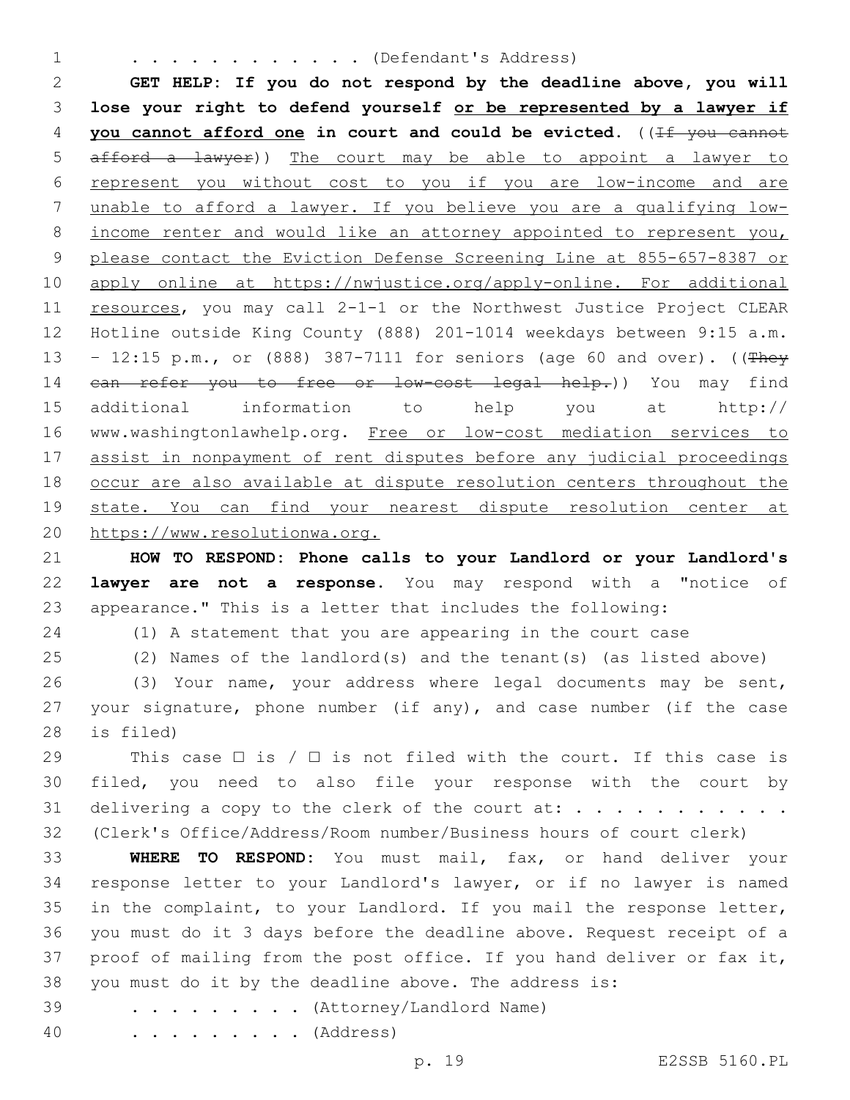#### 1 . . . . . . . . . . . . (Defendant's Address)

 **GET HELP: If you do not respond by the deadline above, you will lose your right to defend yourself or be represented by a lawyer if you cannot afford one in court and could be evicted.** ((If you cannot afford a lawyer)) The court may be able to appoint a lawyer to represent you without cost to you if you are low-income and are unable to afford a lawyer. If you believe you are a qualifying low- income renter and would like an attorney appointed to represent you, please contact the Eviction Defense Screening Line at 855-657-8387 or apply online at https://nwjustice.org/apply-online. For additional 11 resources, you may call 2-1-1 or the Northwest Justice Project CLEAR Hotline outside King County (888) 201-1014 weekdays between 9:15 a.m. – 12:15 p.m., or (888) 387-7111 for seniors (age 60 and over). ((They 14 can refer you to free or low-cost legal help.)) You may find additional information to help you at http:// 16 www.washingtonlawhelp.org. Free or low-cost mediation services to assist in nonpayment of rent disputes before any judicial proceedings occur are also available at dispute resolution centers throughout the 19 state. You can find your nearest dispute resolution center at https://www.resolutionwa.org.

 **HOW TO RESPOND: Phone calls to your Landlord or your Landlord's lawyer are not a response.** You may respond with a "notice of appearance." This is a letter that includes the following:

(1) A statement that you are appearing in the court case

(2) Names of the landlord(s) and the tenant(s) (as listed above)

 (3) Your name, your address where legal documents may be sent, your signature, phone number (if any), and case number (if the case 28 is filed)

29 This case  $\Box$  is /  $\Box$  is not filed with the court. If this case is filed, you need to also file your response with the court by 31 delivering a copy to the clerk of the court at:  $\dots \dots \dots \dots$ (Clerk's Office/Address/Room number/Business hours of court clerk)

 **WHERE TO RESPOND:** You must mail, fax, or hand deliver your response letter to your Landlord's lawyer, or if no lawyer is named in the complaint, to your Landlord. If you mail the response letter, you must do it 3 days before the deadline above. Request receipt of a proof of mailing from the post office. If you hand deliver or fax it, you must do it by the deadline above. The address is:

39 . . . . . . . . (Attorney/Landlord Name)

. . . . . . . . . (Address)

p. 19 E2SSB 5160.PL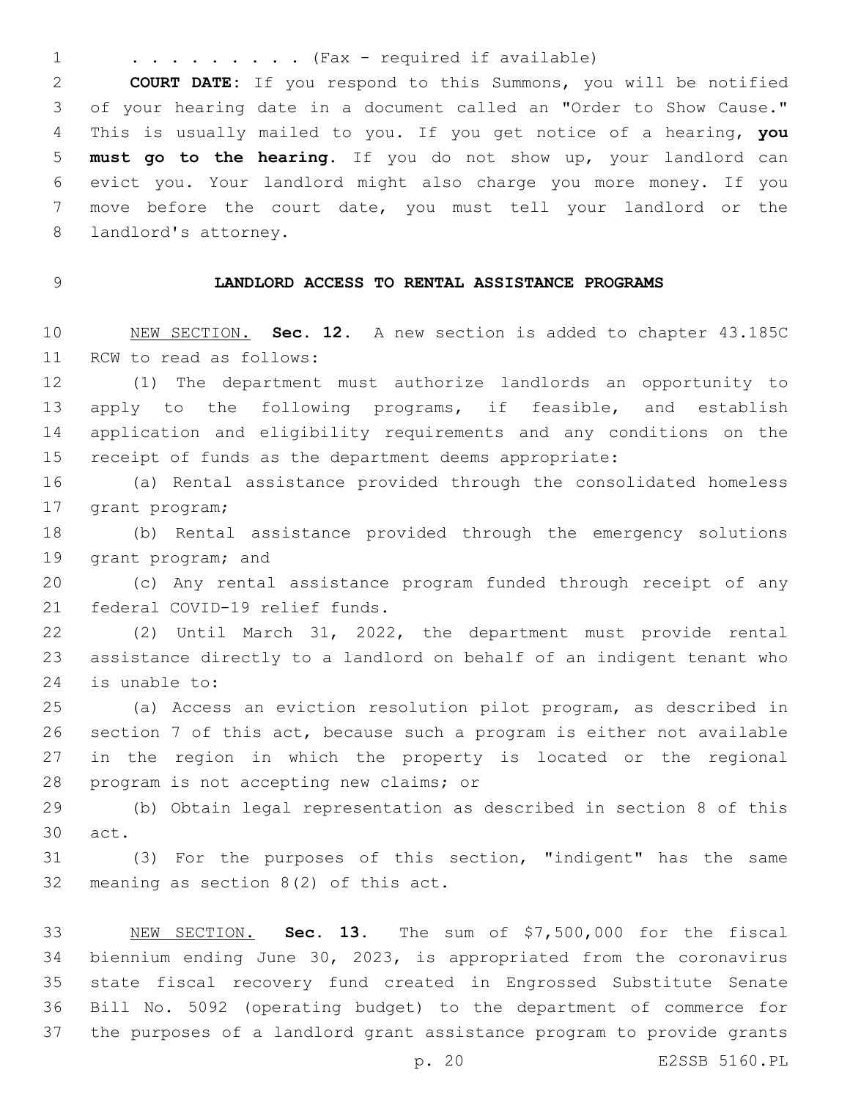1 . . . . . . . . . (Fax - required if available)

 **COURT DATE:** If you respond to this Summons, you will be notified of your hearing date in a document called an "Order to Show Cause." This is usually mailed to you. If you get notice of a hearing, **you must go to the hearing**. If you do not show up, your landlord can evict you. Your landlord might also charge you more money. If you move before the court date, you must tell your landlord or the 8 landlord's attorney.

## **LANDLORD ACCESS TO RENTAL ASSISTANCE PROGRAMS**

 NEW SECTION. **Sec. 12.** A new section is added to chapter 43.185C 11 RCW to read as follows:

 (1) The department must authorize landlords an opportunity to 13 apply to the following programs, if feasible, and establish application and eligibility requirements and any conditions on the receipt of funds as the department deems appropriate:

 (a) Rental assistance provided through the consolidated homeless 17 grant program;

 (b) Rental assistance provided through the emergency solutions 19 grant program; and

 (c) Any rental assistance program funded through receipt of any 21 federal COVID-19 relief funds.

 (2) Until March 31, 2022, the department must provide rental assistance directly to a landlord on behalf of an indigent tenant who 24 is unable to:

 (a) Access an eviction resolution pilot program, as described in section 7 of this act, because such a program is either not available in the region in which the property is located or the regional 28 program is not accepting new claims; or

 (b) Obtain legal representation as described in section 8 of this 30 act.

 (3) For the purposes of this section, "indigent" has the same 32 meaning as section  $8(2)$  of this act.

 NEW SECTION. **Sec. 13.** The sum of \$7,500,000 for the fiscal biennium ending June 30, 2023, is appropriated from the coronavirus state fiscal recovery fund created in Engrossed Substitute Senate Bill No. 5092 (operating budget) to the department of commerce for the purposes of a landlord grant assistance program to provide grants

p. 20 E2SSB 5160.PL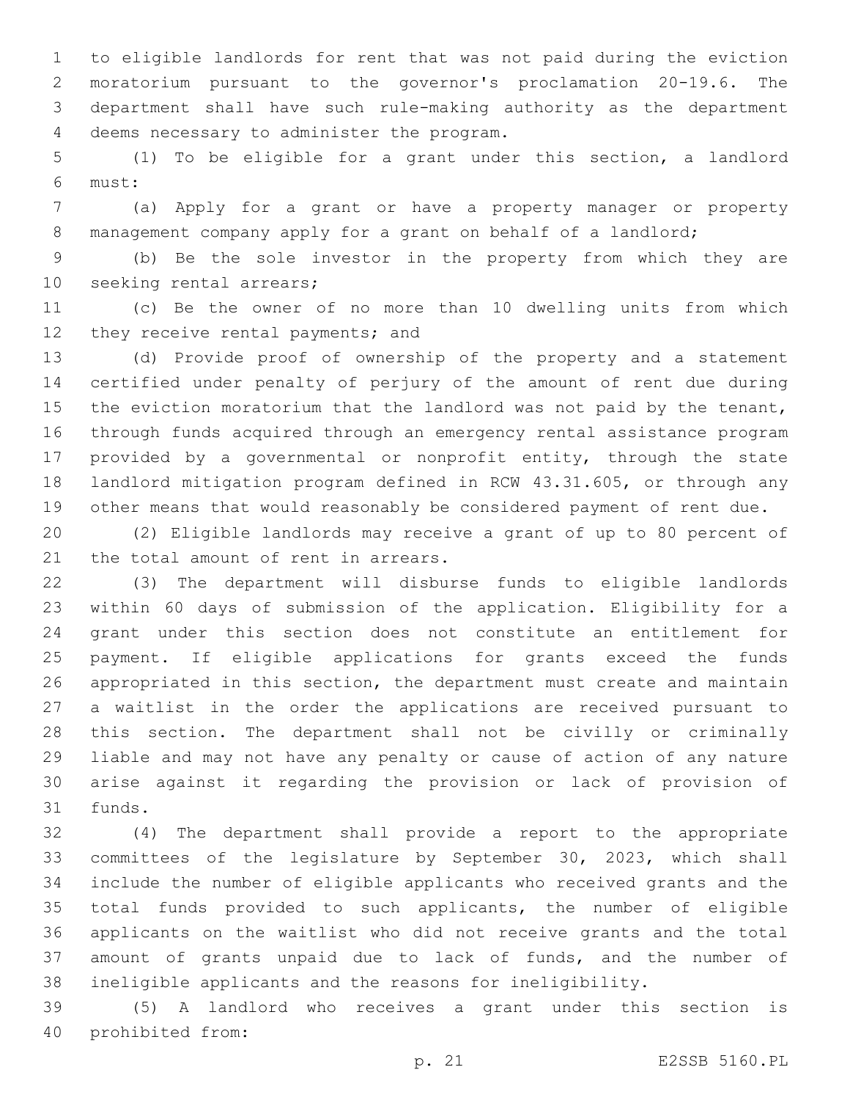to eligible landlords for rent that was not paid during the eviction moratorium pursuant to the governor's proclamation 20-19.6. The department shall have such rule-making authority as the department 4 deems necessary to administer the program.

 (1) To be eligible for a grant under this section, a landlord must:6

 (a) Apply for a grant or have a property manager or property management company apply for a grant on behalf of a landlord;

 (b) Be the sole investor in the property from which they are 10 seeking rental arrears;

 (c) Be the owner of no more than 10 dwelling units from which 12 they receive rental payments; and

 (d) Provide proof of ownership of the property and a statement certified under penalty of perjury of the amount of rent due during 15 the eviction moratorium that the landlord was not paid by the tenant, through funds acquired through an emergency rental assistance program provided by a governmental or nonprofit entity, through the state landlord mitigation program defined in RCW 43.31.605, or through any other means that would reasonably be considered payment of rent due.

 (2) Eligible landlords may receive a grant of up to 80 percent of 21 the total amount of rent in arrears.

 (3) The department will disburse funds to eligible landlords within 60 days of submission of the application. Eligibility for a grant under this section does not constitute an entitlement for payment. If eligible applications for grants exceed the funds appropriated in this section, the department must create and maintain a waitlist in the order the applications are received pursuant to this section. The department shall not be civilly or criminally liable and may not have any penalty or cause of action of any nature arise against it regarding the provision or lack of provision of 31 funds.

 (4) The department shall provide a report to the appropriate committees of the legislature by September 30, 2023, which shall include the number of eligible applicants who received grants and the total funds provided to such applicants, the number of eligible applicants on the waitlist who did not receive grants and the total amount of grants unpaid due to lack of funds, and the number of ineligible applicants and the reasons for ineligibility.

 (5) A landlord who receives a grant under this section is 40 prohibited from: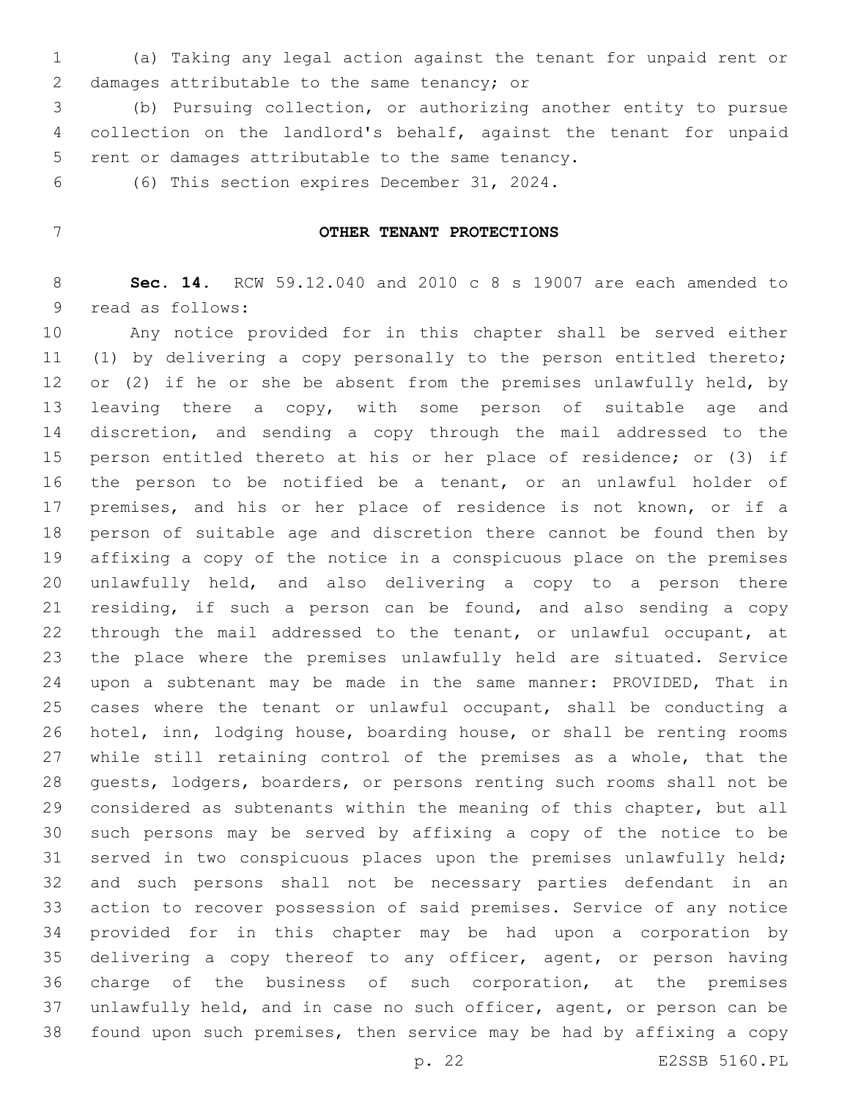(a) Taking any legal action against the tenant for unpaid rent or 2 damages attributable to the same tenancy; or

 (b) Pursuing collection, or authorizing another entity to pursue collection on the landlord's behalf, against the tenant for unpaid 5 rent or damages attributable to the same tenancy.

6 (6) This section expires December 31, 2024.

## **OTHER TENANT PROTECTIONS**

 **Sec. 14.** RCW 59.12.040 and 2010 c 8 s 19007 are each amended to 9 read as follows:

 Any notice provided for in this chapter shall be served either (1) by delivering a copy personally to the person entitled thereto; 12 or (2) if he or she be absent from the premises unlawfully held, by 13 leaving there a copy, with some person of suitable age and discretion, and sending a copy through the mail addressed to the person entitled thereto at his or her place of residence; or (3) if the person to be notified be a tenant, or an unlawful holder of premises, and his or her place of residence is not known, or if a person of suitable age and discretion there cannot be found then by affixing a copy of the notice in a conspicuous place on the premises unlawfully held, and also delivering a copy to a person there residing, if such a person can be found, and also sending a copy through the mail addressed to the tenant, or unlawful occupant, at the place where the premises unlawfully held are situated. Service upon a subtenant may be made in the same manner: PROVIDED, That in cases where the tenant or unlawful occupant, shall be conducting a hotel, inn, lodging house, boarding house, or shall be renting rooms while still retaining control of the premises as a whole, that the guests, lodgers, boarders, or persons renting such rooms shall not be considered as subtenants within the meaning of this chapter, but all such persons may be served by affixing a copy of the notice to be served in two conspicuous places upon the premises unlawfully held; and such persons shall not be necessary parties defendant in an action to recover possession of said premises. Service of any notice provided for in this chapter may be had upon a corporation by delivering a copy thereof to any officer, agent, or person having charge of the business of such corporation, at the premises unlawfully held, and in case no such officer, agent, or person can be found upon such premises, then service may be had by affixing a copy

p. 22 E2SSB 5160.PL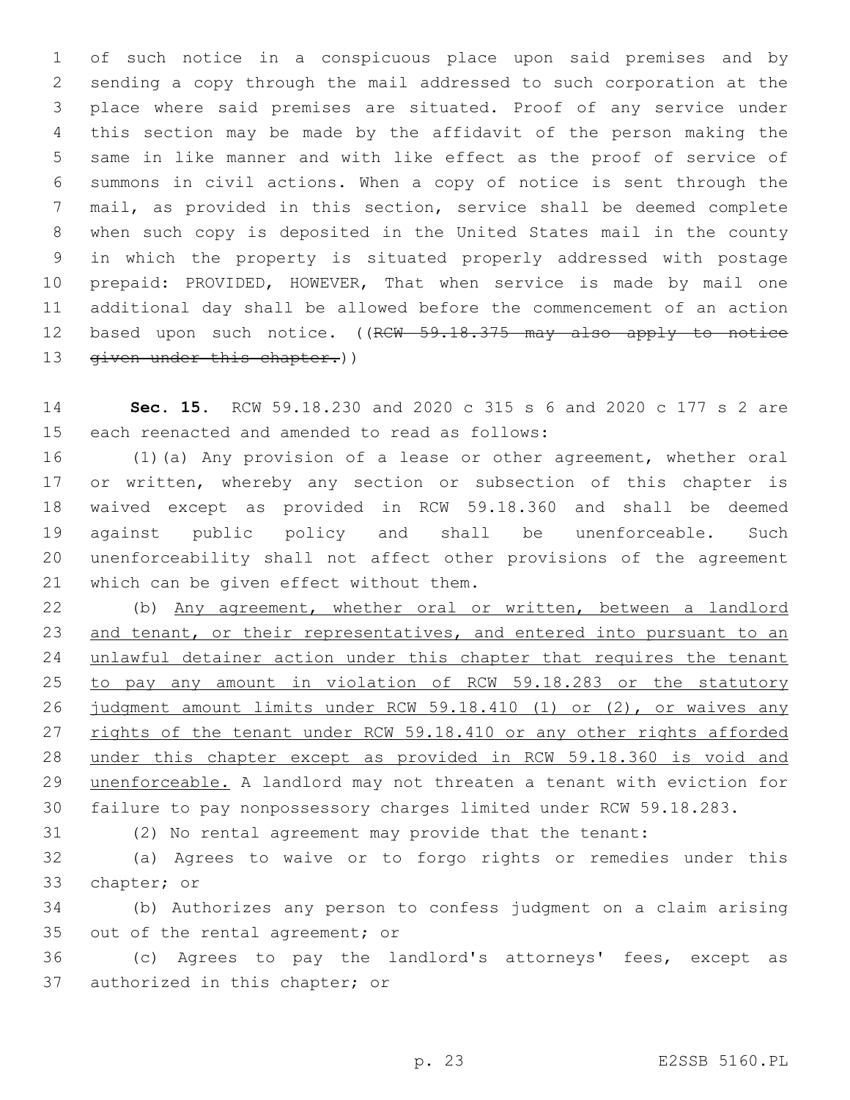of such notice in a conspicuous place upon said premises and by sending a copy through the mail addressed to such corporation at the place where said premises are situated. Proof of any service under this section may be made by the affidavit of the person making the same in like manner and with like effect as the proof of service of summons in civil actions. When a copy of notice is sent through the mail, as provided in this section, service shall be deemed complete when such copy is deposited in the United States mail in the county in which the property is situated properly addressed with postage prepaid: PROVIDED, HOWEVER, That when service is made by mail one additional day shall be allowed before the commencement of an action 12 based upon such notice. ((RCW 59.18.375 may also apply to notice 13 given under this chapter.))

 **Sec. 15.** RCW 59.18.230 and 2020 c 315 s 6 and 2020 c 177 s 2 are 15 each reenacted and amended to read as follows:

 (1)(a) Any provision of a lease or other agreement, whether oral 17 or written, whereby any section or subsection of this chapter is waived except as provided in RCW 59.18.360 and shall be deemed against public policy and shall be unenforceable. Such unenforceability shall not affect other provisions of the agreement 21 which can be given effect without them.

 (b) Any agreement, whether oral or written, between a landlord 23 and tenant, or their representatives, and entered into pursuant to an 24 unlawful detainer action under this chapter that requires the tenant to pay any amount in violation of RCW 59.18.283 or the statutory judgment amount limits under RCW 59.18.410 (1) or (2), or waives any 27 rights of the tenant under RCW 59.18.410 or any other rights afforded under this chapter except as provided in RCW 59.18.360 is void and unenforceable. A landlord may not threaten a tenant with eviction for failure to pay nonpossessory charges limited under RCW 59.18.283.

(2) No rental agreement may provide that the tenant:

 (a) Agrees to waive or to forgo rights or remedies under this 33 chapter; or

 (b) Authorizes any person to confess judgment on a claim arising 35 out of the rental agreement; or

 (c) Agrees to pay the landlord's attorneys' fees, except as 37 authorized in this chapter; or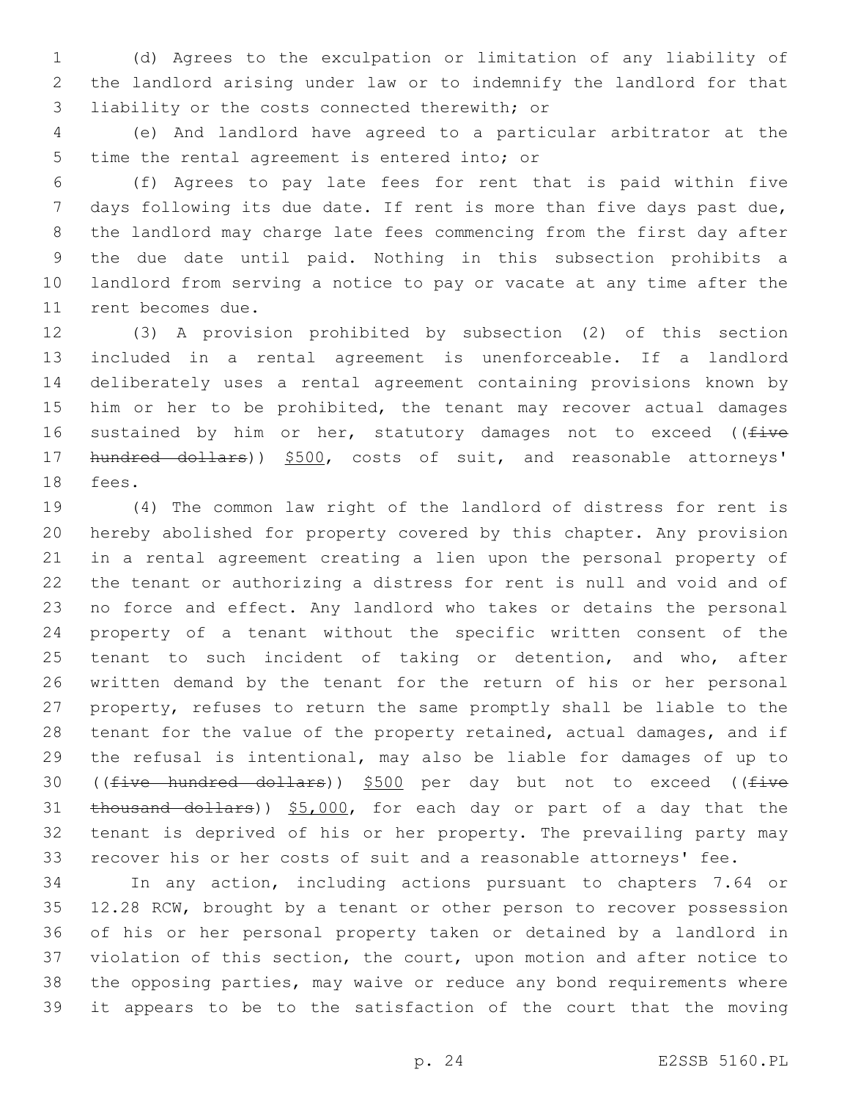(d) Agrees to the exculpation or limitation of any liability of the landlord arising under law or to indemnify the landlord for that 3 liability or the costs connected therewith; or

 (e) And landlord have agreed to a particular arbitrator at the 5 time the rental agreement is entered into; or

 (f) Agrees to pay late fees for rent that is paid within five days following its due date. If rent is more than five days past due, the landlord may charge late fees commencing from the first day after the due date until paid. Nothing in this subsection prohibits a landlord from serving a notice to pay or vacate at any time after the 11 rent becomes due.

 (3) A provision prohibited by subsection (2) of this section included in a rental agreement is unenforceable. If a landlord deliberately uses a rental agreement containing provisions known by 15 him or her to be prohibited, the tenant may recover actual damages 16 sustained by him or her, statutory damages not to exceed ((five 17 hundred dollars)) \$500, costs of suit, and reasonable attorneys' 18 fees.

 (4) The common law right of the landlord of distress for rent is hereby abolished for property covered by this chapter. Any provision in a rental agreement creating a lien upon the personal property of the tenant or authorizing a distress for rent is null and void and of no force and effect. Any landlord who takes or detains the personal property of a tenant without the specific written consent of the tenant to such incident of taking or detention, and who, after written demand by the tenant for the return of his or her personal property, refuses to return the same promptly shall be liable to the tenant for the value of the property retained, actual damages, and if the refusal is intentional, may also be liable for damages of up to 30 ((five hundred dollars)) \$500 per day but not to exceed ((five 31 thousand dollars)) \$5,000, for each day or part of a day that the tenant is deprived of his or her property. The prevailing party may recover his or her costs of suit and a reasonable attorneys' fee.

 In any action, including actions pursuant to chapters 7.64 or 12.28 RCW, brought by a tenant or other person to recover possession of his or her personal property taken or detained by a landlord in violation of this section, the court, upon motion and after notice to the opposing parties, may waive or reduce any bond requirements where it appears to be to the satisfaction of the court that the moving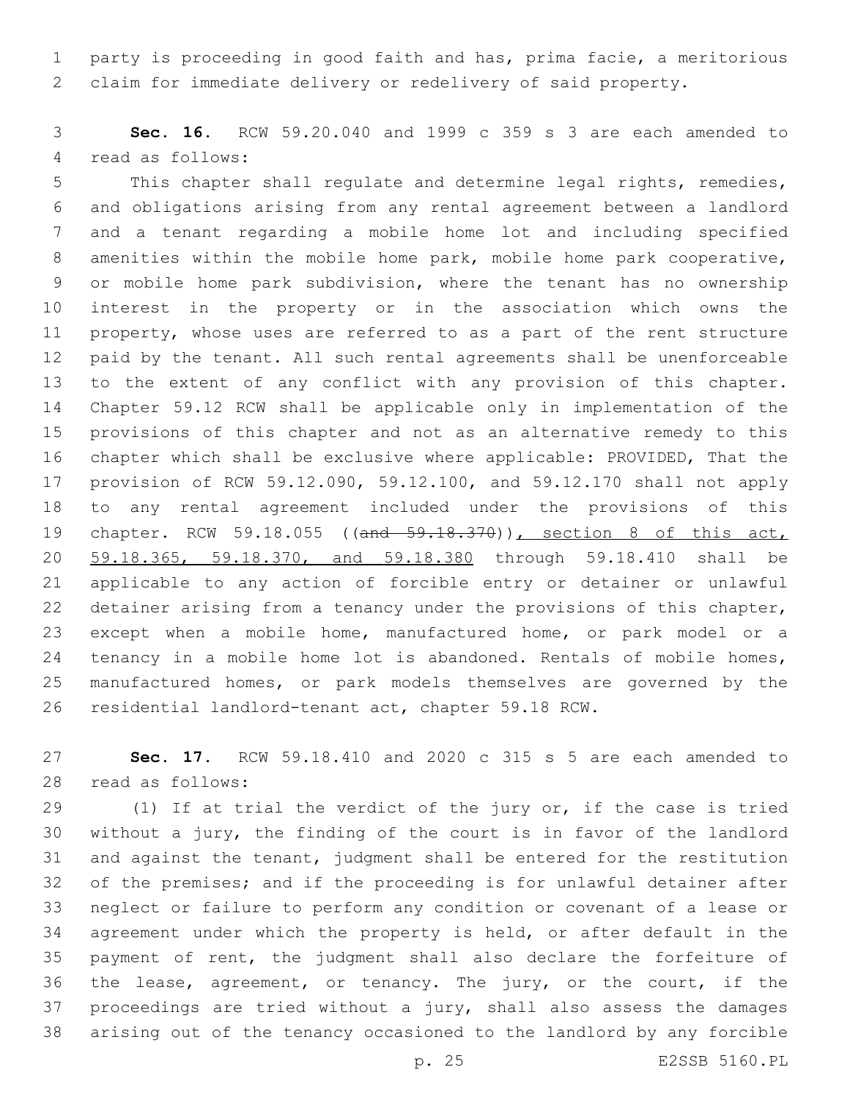party is proceeding in good faith and has, prima facie, a meritorious claim for immediate delivery or redelivery of said property.

 **Sec. 16.** RCW 59.20.040 and 1999 c 359 s 3 are each amended to 4 read as follows:

 This chapter shall regulate and determine legal rights, remedies, and obligations arising from any rental agreement between a landlord and a tenant regarding a mobile home lot and including specified amenities within the mobile home park, mobile home park cooperative, or mobile home park subdivision, where the tenant has no ownership interest in the property or in the association which owns the property, whose uses are referred to as a part of the rent structure paid by the tenant. All such rental agreements shall be unenforceable to the extent of any conflict with any provision of this chapter. Chapter 59.12 RCW shall be applicable only in implementation of the provisions of this chapter and not as an alternative remedy to this chapter which shall be exclusive where applicable: PROVIDED, That the provision of RCW 59.12.090, 59.12.100, and 59.12.170 shall not apply to any rental agreement included under the provisions of this 19 chapter. RCW 59.18.055 ((and 59.18.370)), section 8 of this act, 59.18.365, 59.18.370, and 59.18.380 through 59.18.410 shall be applicable to any action of forcible entry or detainer or unlawful detainer arising from a tenancy under the provisions of this chapter, except when a mobile home, manufactured home, or park model or a 24 tenancy in a mobile home lot is abandoned. Rentals of mobile homes, manufactured homes, or park models themselves are governed by the residential landlord-tenant act, chapter 59.18 RCW.

 **Sec. 17.** RCW 59.18.410 and 2020 c 315 s 5 are each amended to 28 read as follows:

 (1) If at trial the verdict of the jury or, if the case is tried without a jury, the finding of the court is in favor of the landlord and against the tenant, judgment shall be entered for the restitution of the premises; and if the proceeding is for unlawful detainer after neglect or failure to perform any condition or covenant of a lease or agreement under which the property is held, or after default in the payment of rent, the judgment shall also declare the forfeiture of 36 the lease, agreement, or tenancy. The jury, or the court, if the proceedings are tried without a jury, shall also assess the damages arising out of the tenancy occasioned to the landlord by any forcible

p. 25 E2SSB 5160.PL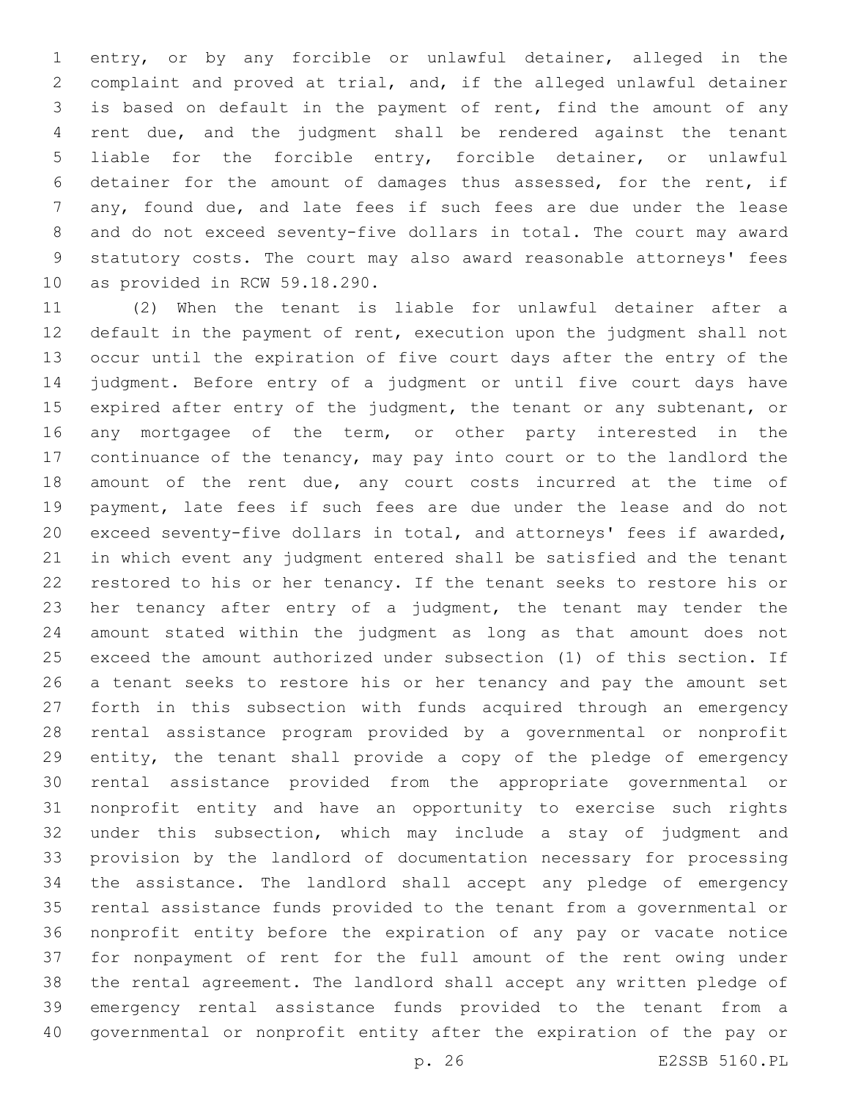entry, or by any forcible or unlawful detainer, alleged in the complaint and proved at trial, and, if the alleged unlawful detainer is based on default in the payment of rent, find the amount of any rent due, and the judgment shall be rendered against the tenant liable for the forcible entry, forcible detainer, or unlawful detainer for the amount of damages thus assessed, for the rent, if any, found due, and late fees if such fees are due under the lease and do not exceed seventy-five dollars in total. The court may award statutory costs. The court may also award reasonable attorneys' fees 10 as provided in RCW 59.18.290.

 (2) When the tenant is liable for unlawful detainer after a default in the payment of rent, execution upon the judgment shall not occur until the expiration of five court days after the entry of the judgment. Before entry of a judgment or until five court days have 15 expired after entry of the judgment, the tenant or any subtenant, or 16 any mortgagee of the term, or other party interested in the continuance of the tenancy, may pay into court or to the landlord the amount of the rent due, any court costs incurred at the time of payment, late fees if such fees are due under the lease and do not exceed seventy-five dollars in total, and attorneys' fees if awarded, in which event any judgment entered shall be satisfied and the tenant restored to his or her tenancy. If the tenant seeks to restore his or her tenancy after entry of a judgment, the tenant may tender the amount stated within the judgment as long as that amount does not exceed the amount authorized under subsection (1) of this section. If a tenant seeks to restore his or her tenancy and pay the amount set forth in this subsection with funds acquired through an emergency rental assistance program provided by a governmental or nonprofit entity, the tenant shall provide a copy of the pledge of emergency rental assistance provided from the appropriate governmental or nonprofit entity and have an opportunity to exercise such rights under this subsection, which may include a stay of judgment and provision by the landlord of documentation necessary for processing the assistance. The landlord shall accept any pledge of emergency rental assistance funds provided to the tenant from a governmental or nonprofit entity before the expiration of any pay or vacate notice for nonpayment of rent for the full amount of the rent owing under the rental agreement. The landlord shall accept any written pledge of emergency rental assistance funds provided to the tenant from a governmental or nonprofit entity after the expiration of the pay or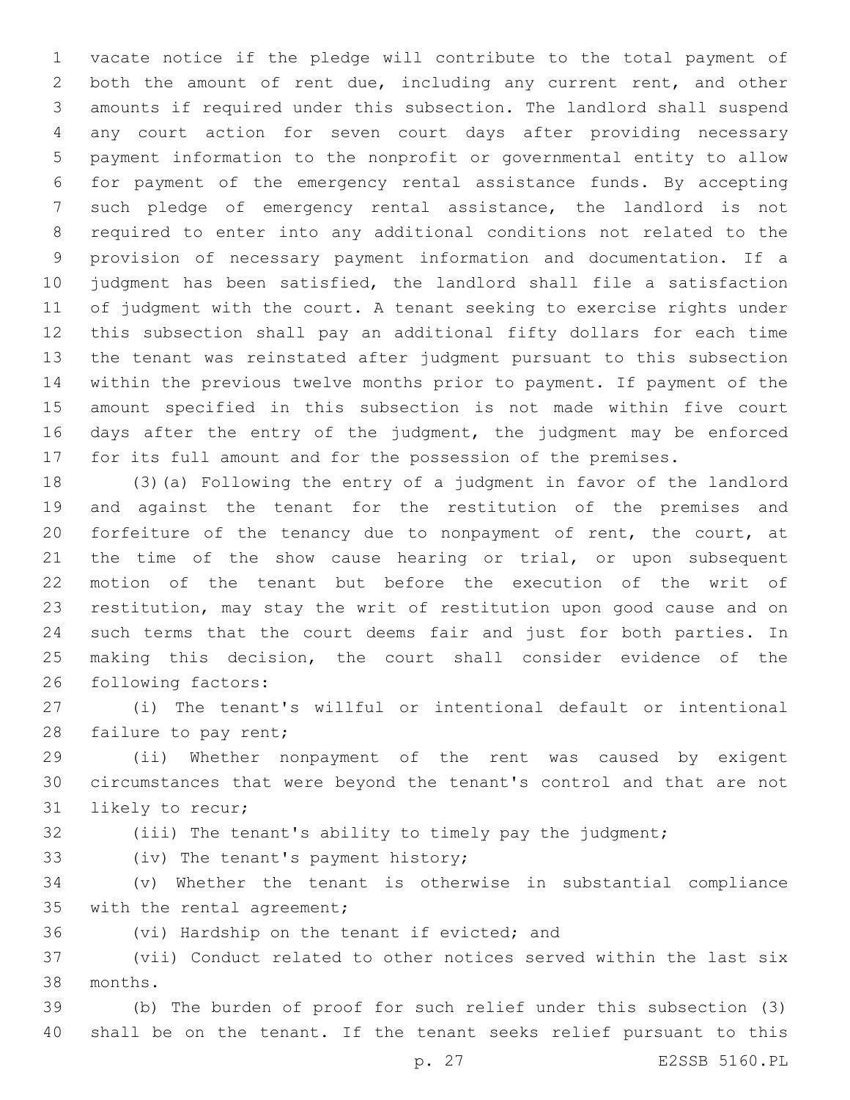vacate notice if the pledge will contribute to the total payment of both the amount of rent due, including any current rent, and other amounts if required under this subsection. The landlord shall suspend any court action for seven court days after providing necessary payment information to the nonprofit or governmental entity to allow for payment of the emergency rental assistance funds. By accepting such pledge of emergency rental assistance, the landlord is not required to enter into any additional conditions not related to the provision of necessary payment information and documentation. If a judgment has been satisfied, the landlord shall file a satisfaction of judgment with the court. A tenant seeking to exercise rights under this subsection shall pay an additional fifty dollars for each time the tenant was reinstated after judgment pursuant to this subsection within the previous twelve months prior to payment. If payment of the amount specified in this subsection is not made within five court days after the entry of the judgment, the judgment may be enforced for its full amount and for the possession of the premises.

 (3)(a) Following the entry of a judgment in favor of the landlord and against the tenant for the restitution of the premises and forfeiture of the tenancy due to nonpayment of rent, the court, at the time of the show cause hearing or trial, or upon subsequent motion of the tenant but before the execution of the writ of restitution, may stay the writ of restitution upon good cause and on such terms that the court deems fair and just for both parties. In making this decision, the court shall consider evidence of the 26 following factors:

 (i) The tenant's willful or intentional default or intentional 28 failure to pay rent;

 (ii) Whether nonpayment of the rent was caused by exigent circumstances that were beyond the tenant's control and that are not 31 likely to recur;

(iii) The tenant's ability to timely pay the judgment;

33 (iv) The tenant's payment history;

 (v) Whether the tenant is otherwise in substantial compliance 35 with the rental agreement;

36 (vi) Hardship on the tenant if evicted; and

 (vii) Conduct related to other notices served within the last six months.38

 (b) The burden of proof for such relief under this subsection (3) shall be on the tenant. If the tenant seeks relief pursuant to this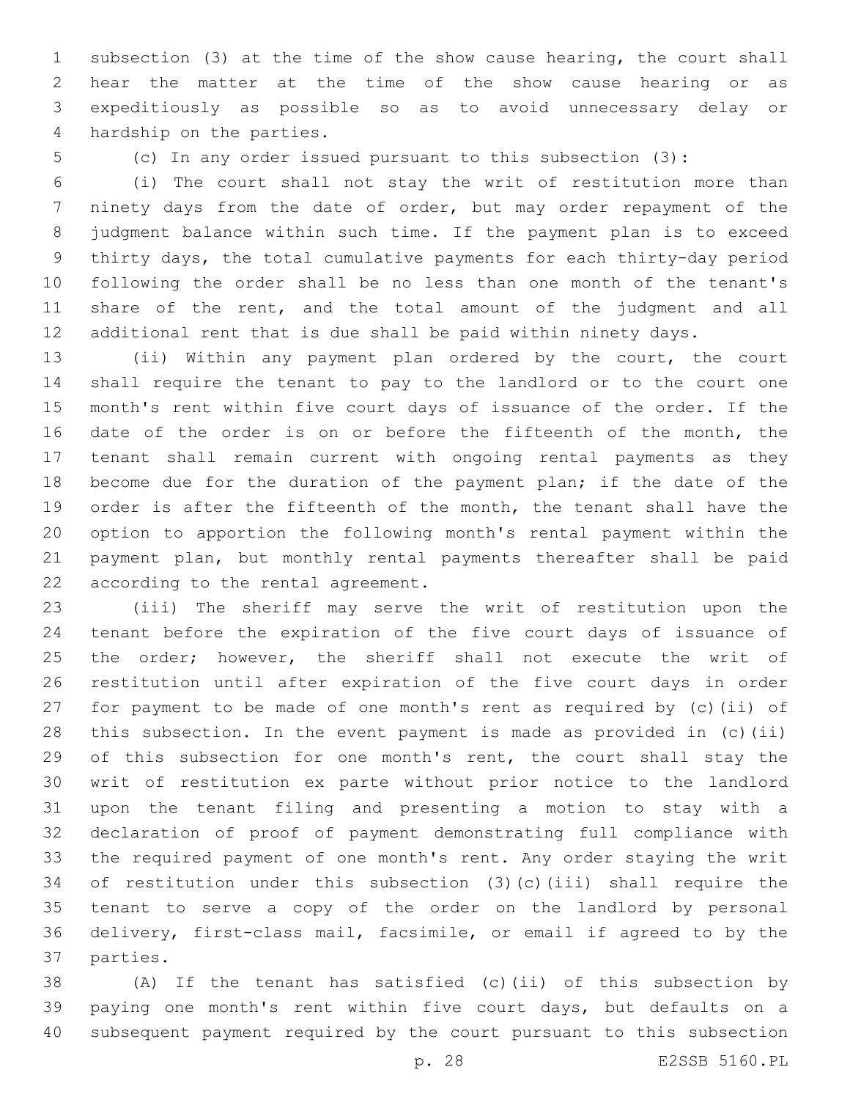subsection (3) at the time of the show cause hearing, the court shall hear the matter at the time of the show cause hearing or as expeditiously as possible so as to avoid unnecessary delay or 4 hardship on the parties.

(c) In any order issued pursuant to this subsection (3):

 (i) The court shall not stay the writ of restitution more than ninety days from the date of order, but may order repayment of the judgment balance within such time. If the payment plan is to exceed thirty days, the total cumulative payments for each thirty-day period following the order shall be no less than one month of the tenant's share of the rent, and the total amount of the judgment and all additional rent that is due shall be paid within ninety days.

 (ii) Within any payment plan ordered by the court, the court shall require the tenant to pay to the landlord or to the court one month's rent within five court days of issuance of the order. If the date of the order is on or before the fifteenth of the month, the tenant shall remain current with ongoing rental payments as they become due for the duration of the payment plan; if the date of the 19 order is after the fifteenth of the month, the tenant shall have the option to apportion the following month's rental payment within the payment plan, but monthly rental payments thereafter shall be paid 22 according to the rental agreement.

 (iii) The sheriff may serve the writ of restitution upon the tenant before the expiration of the five court days of issuance of 25 the order; however, the sheriff shall not execute the writ of restitution until after expiration of the five court days in order for payment to be made of one month's rent as required by (c)(ii) of this subsection. In the event payment is made as provided in (c)(ii) 29 of this subsection for one month's rent, the court shall stay the writ of restitution ex parte without prior notice to the landlord upon the tenant filing and presenting a motion to stay with a declaration of proof of payment demonstrating full compliance with the required payment of one month's rent. Any order staying the writ of restitution under this subsection (3)(c)(iii) shall require the tenant to serve a copy of the order on the landlord by personal delivery, first-class mail, facsimile, or email if agreed to by the 37 parties.

 (A) If the tenant has satisfied (c)(ii) of this subsection by paying one month's rent within five court days, but defaults on a subsequent payment required by the court pursuant to this subsection

p. 28 E2SSB 5160.PL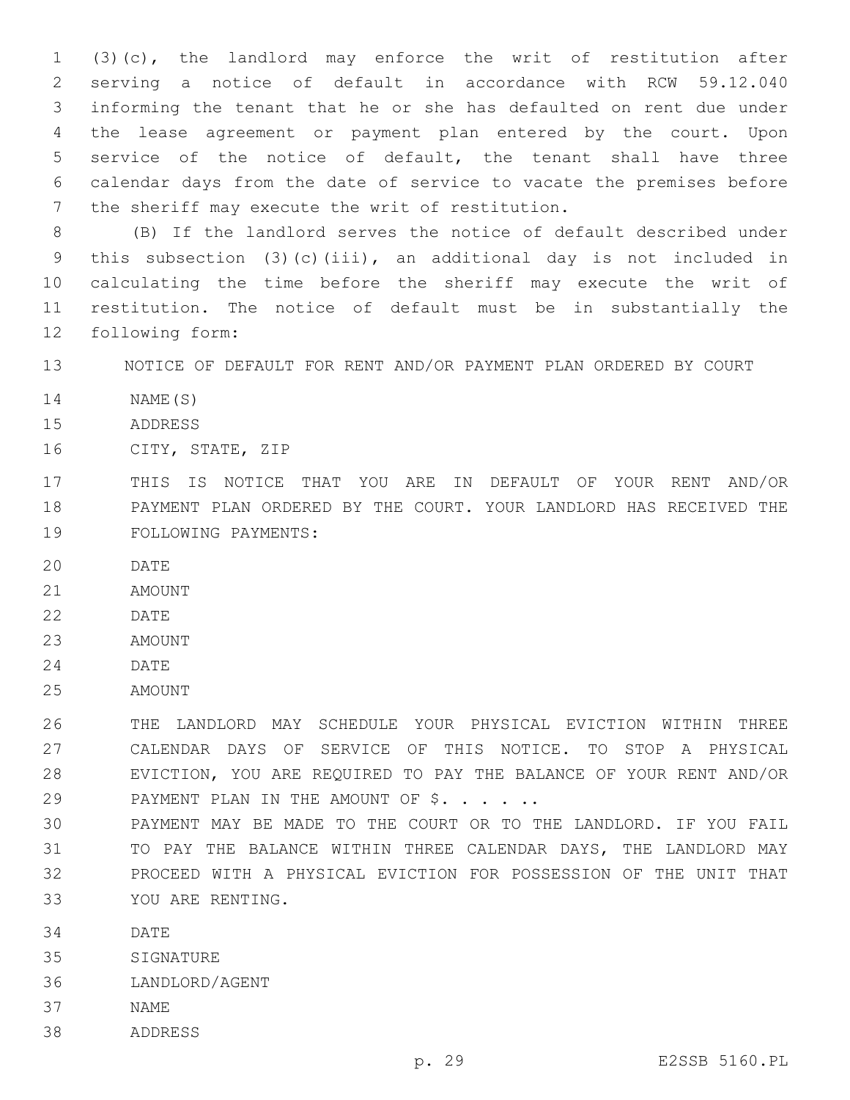(3)(c), the landlord may enforce the writ of restitution after serving a notice of default in accordance with RCW 59.12.040 informing the tenant that he or she has defaulted on rent due under the lease agreement or payment plan entered by the court. Upon service of the notice of default, the tenant shall have three calendar days from the date of service to vacate the premises before 7 the sheriff may execute the writ of restitution.

 (B) If the landlord serves the notice of default described under this subsection (3)(c)(iii), an additional day is not included in calculating the time before the sheriff may execute the writ of restitution. The notice of default must be in substantially the 12 following form:

13 NOTICE OF DEFAULT FOR RENT AND/OR PAYMENT PLAN ORDERED BY COURT

- 14 NAME(S)
- 15 ADDRESS
- 16 CITY, STATE, ZIP
- 17 THIS IS NOTICE THAT YOU ARE IN DEFAULT OF YOUR RENT AND/OR 18 PAYMENT PLAN ORDERED BY THE COURT. YOUR LANDLORD HAS RECEIVED THE 19 FOLLOWING PAYMENTS:
- 20 DATE
- 21 AMOUNT
- 22 DATE
- 23 AMOUNT
- 24 DATE
- 25 AMOUNT

 THE LANDLORD MAY SCHEDULE YOUR PHYSICAL EVICTION WITHIN THREE CALENDAR DAYS OF SERVICE OF THIS NOTICE. TO STOP A PHYSICAL EVICTION, YOU ARE REQUIRED TO PAY THE BALANCE OF YOUR RENT AND/OR 29 PAYMENT PLAN IN THE AMOUNT OF \$. . . . .

- 30 PAYMENT MAY BE MADE TO THE COURT OR TO THE LANDLORD. IF YOU FAIL 31 TO PAY THE BALANCE WITHIN THREE CALENDAR DAYS, THE LANDLORD MAY 32 PROCEED WITH A PHYSICAL EVICTION FOR POSSESSION OF THE UNIT THAT YOU ARE RENTING.33
- 34 DATE
- 35 SIGNATURE
- 36 LANDLORD/AGENT
- 37 NAME
- 38 ADDRESS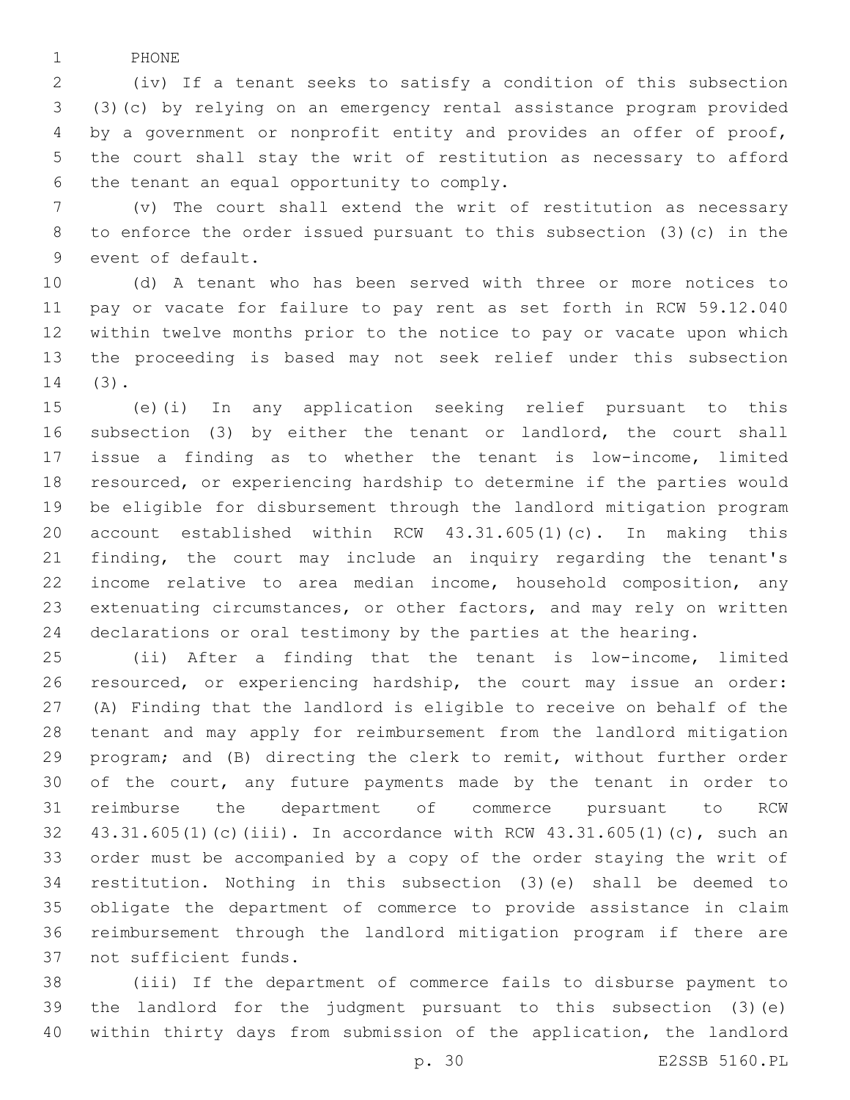1 PHONE

 (iv) If a tenant seeks to satisfy a condition of this subsection (3)(c) by relying on an emergency rental assistance program provided by a government or nonprofit entity and provides an offer of proof, the court shall stay the writ of restitution as necessary to afford 6 the tenant an equal opportunity to comply.

 (v) The court shall extend the writ of restitution as necessary to enforce the order issued pursuant to this subsection (3)(c) in the 9 event of default.

 (d) A tenant who has been served with three or more notices to pay or vacate for failure to pay rent as set forth in RCW 59.12.040 within twelve months prior to the notice to pay or vacate upon which the proceeding is based may not seek relief under this subsection (3).14

 (e)(i) In any application seeking relief pursuant to this subsection (3) by either the tenant or landlord, the court shall issue a finding as to whether the tenant is low-income, limited resourced, or experiencing hardship to determine if the parties would be eligible for disbursement through the landlord mitigation program account established within RCW 43.31.605(1)(c). In making this finding, the court may include an inquiry regarding the tenant's income relative to area median income, household composition, any extenuating circumstances, or other factors, and may rely on written declarations or oral testimony by the parties at the hearing.

 (ii) After a finding that the tenant is low-income, limited resourced, or experiencing hardship, the court may issue an order: (A) Finding that the landlord is eligible to receive on behalf of the tenant and may apply for reimbursement from the landlord mitigation program; and (B) directing the clerk to remit, without further order of the court, any future payments made by the tenant in order to reimburse the department of commerce pursuant to RCW 43.31.605(1)(c)(iii). In accordance with RCW 43.31.605(1)(c), such an order must be accompanied by a copy of the order staying the writ of restitution. Nothing in this subsection (3)(e) shall be deemed to obligate the department of commerce to provide assistance in claim reimbursement through the landlord mitigation program if there are 37 not sufficient funds.

 (iii) If the department of commerce fails to disburse payment to the landlord for the judgment pursuant to this subsection (3)(e) within thirty days from submission of the application, the landlord

p. 30 E2SSB 5160.PL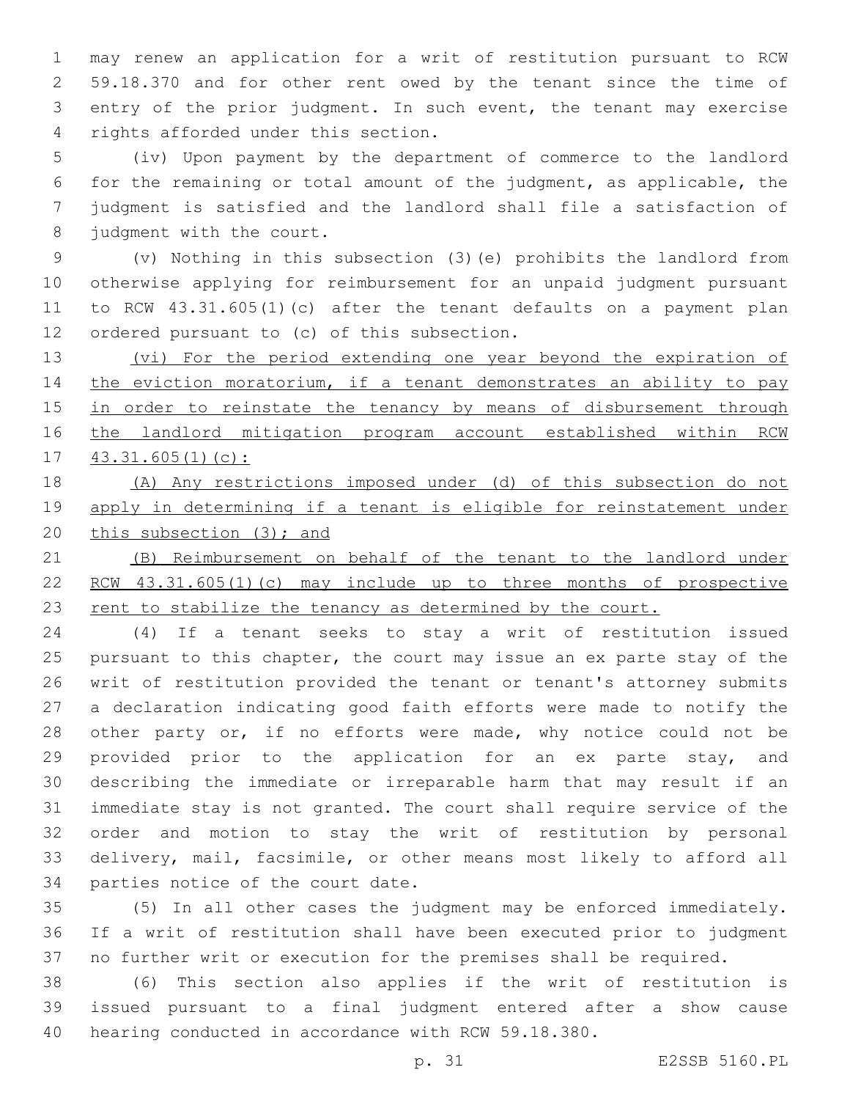may renew an application for a writ of restitution pursuant to RCW 59.18.370 and for other rent owed by the tenant since the time of entry of the prior judgment. In such event, the tenant may exercise 4 rights afforded under this section.

 (iv) Upon payment by the department of commerce to the landlord for the remaining or total amount of the judgment, as applicable, the judgment is satisfied and the landlord shall file a satisfaction of 8 judgment with the court.

 (v) Nothing in this subsection (3)(e) prohibits the landlord from otherwise applying for reimbursement for an unpaid judgment pursuant to RCW 43.31.605(1)(c) after the tenant defaults on a payment plan 12 ordered pursuant to (c) of this subsection.

13 (vi) For the period extending one year beyond the expiration of 14 the eviction moratorium, if a tenant demonstrates an ability to pay 15 in order to reinstate the tenancy by means of disbursement through the landlord mitigation program account established within RCW 43.31.605(1)(c):

 (A) Any restrictions imposed under (d) of this subsection do not apply in determining if a tenant is eligible for reinstatement under 20 this subsection (3); and

 (B) Reimbursement on behalf of the tenant to the landlord under RCW 43.31.605(1)(c) may include up to three months of prospective 23 rent to stabilize the tenancy as determined by the court.

 (4) If a tenant seeks to stay a writ of restitution issued pursuant to this chapter, the court may issue an ex parte stay of the writ of restitution provided the tenant or tenant's attorney submits a declaration indicating good faith efforts were made to notify the 28 other party or, if no efforts were made, why notice could not be provided prior to the application for an ex parte stay, and describing the immediate or irreparable harm that may result if an immediate stay is not granted. The court shall require service of the order and motion to stay the writ of restitution by personal delivery, mail, facsimile, or other means most likely to afford all 34 parties notice of the court date.

 (5) In all other cases the judgment may be enforced immediately. If a writ of restitution shall have been executed prior to judgment no further writ or execution for the premises shall be required.

 (6) This section also applies if the writ of restitution is issued pursuant to a final judgment entered after a show cause hearing conducted in accordance with RCW 59.18.380.